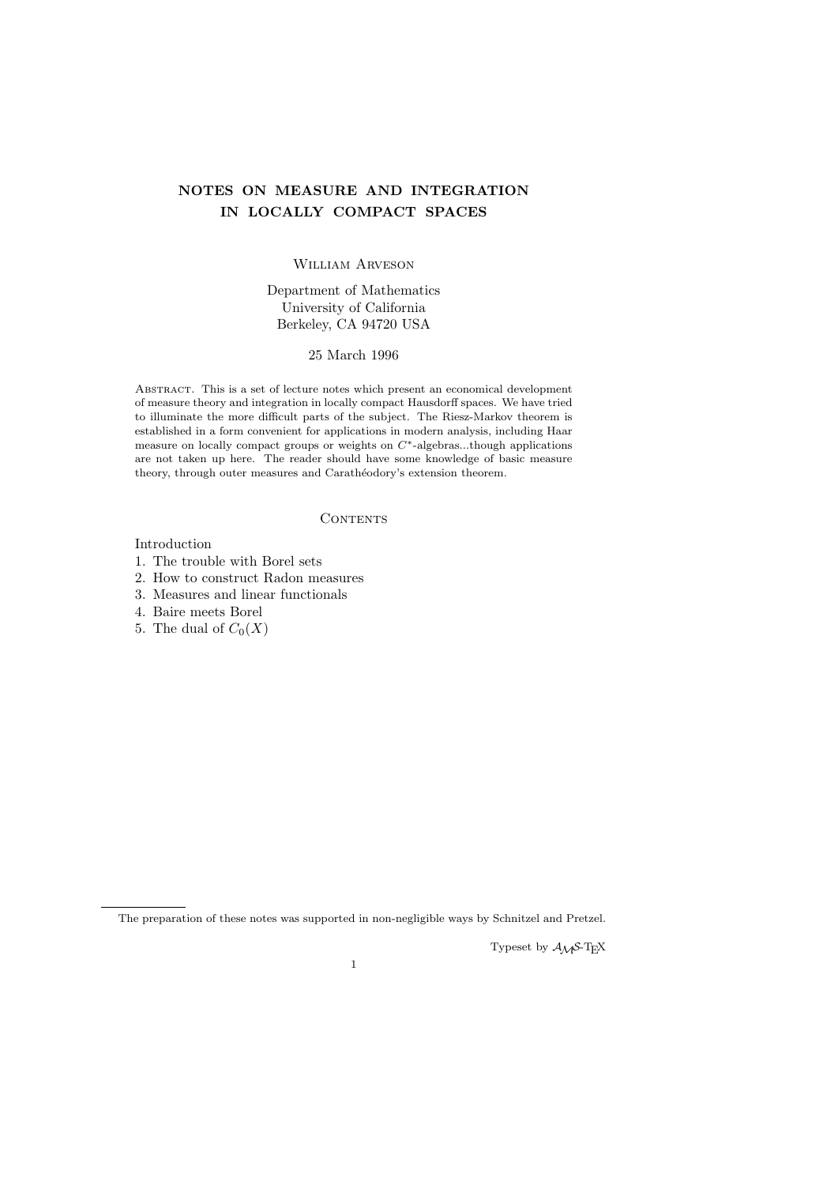# NOTES ON MEASURE AND INTEGRATION IN LOCALLY COMPACT SPACES

## William Arveson

## Department of Mathematics University of California Berkeley, CA 94720 USA

## 25 March 1996

Abstract. This is a set of lecture notes which present an economical development of measure theory and integration in locally compact Hausdorff spaces. We have tried to illuminate the more difficult parts of the subject. The Riesz-Markov theorem is established in a form convenient for applications in modern analysis, including Haar measure on locally compact groups or weights on  $C^*$ -algebras...though applications are not taken up here. The reader should have some knowledge of basic measure theory, through outer measures and Carathéodory's extension theorem.

### **CONTENTS**

## Introduction

- 1. The trouble with Borel sets
- 2. How to construct Radon measures
- 3. Measures and linear functionals
- 4. Baire meets Borel
- 5. The dual of  $C_0(X)$

Typeset by  $A_{\mathcal{M}}S$ -T<sub>E</sub>X

The preparation of these notes was supported in non-negligible ways by Schnitzel and Pretzel.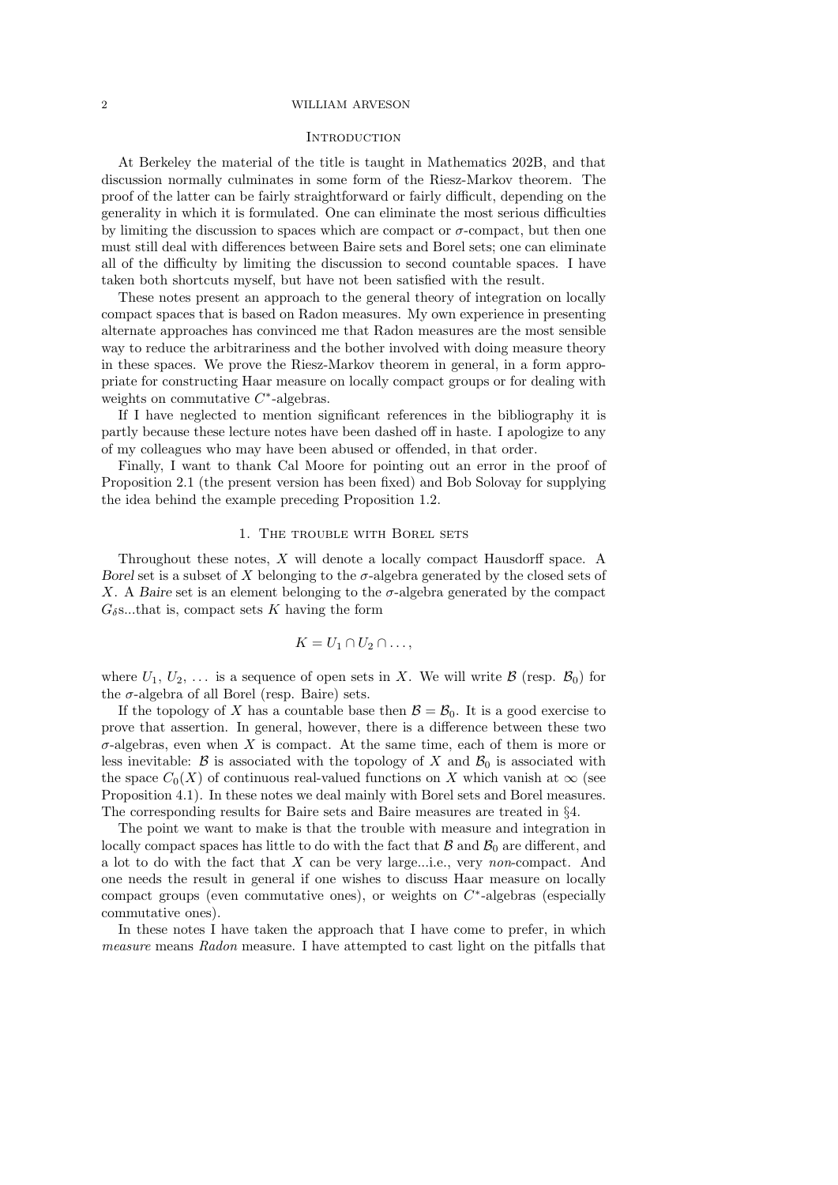#### **INTRODUCTION**

At Berkeley the material of the title is taught in Mathematics 202B, and that discussion normally culminates in some form of the Riesz-Markov theorem. The proof of the latter can be fairly straightforward or fairly difficult, depending on the generality in which it is formulated. One can eliminate the most serious difficulties by limiting the discussion to spaces which are compact or  $\sigma$ -compact, but then one must still deal with differences between Baire sets and Borel sets; one can eliminate all of the difficulty by limiting the discussion to second countable spaces. I have taken both shortcuts myself, but have not been satisfied with the result.

These notes present an approach to the general theory of integration on locally compact spaces that is based on Radon measures. My own experience in presenting alternate approaches has convinced me that Radon measures are the most sensible way to reduce the arbitrariness and the bother involved with doing measure theory in these spaces. We prove the Riesz-Markov theorem in general, in a form appropriate for constructing Haar measure on locally compact groups or for dealing with weights on commutative  $C^*$ -algebras.

If I have neglected to mention significant references in the bibliography it is partly because these lecture notes have been dashed off in haste. I apologize to any of my colleagues who may have been abused or offended, in that order.

Finally, I want to thank Cal Moore for pointing out an error in the proof of Proposition 2.1 (the present version has been fixed) and Bob Solovay for supplying the idea behind the example preceding Proposition 1.2.

### 1. THE TROUBLE WITH BOREL SETS

Throughout these notes, X will denote a locally compact Hausdorff space. A Borel set is a subset of X belonging to the  $\sigma$ -algebra generated by the closed sets of X. A Baire set is an element belonging to the  $\sigma$ -algebra generated by the compact  $G_{\delta}$ s...that is, compact sets K having the form

$$
K=U_1\cap U_2\cap\dots,
$$

where  $U_1, U_2, \ldots$  is a sequence of open sets in X. We will write  $\mathcal{B}$  (resp.  $\mathcal{B}_0$ ) for the  $\sigma$ -algebra of all Borel (resp. Baire) sets.

If the topology of X has a countable base then  $\mathcal{B} = \mathcal{B}_0$ . It is a good exercise to prove that assertion. In general, however, there is a difference between these two  $\sigma$ -algebras, even when X is compact. At the same time, each of them is more or less inevitable:  $\beta$  is associated with the topology of X and  $\beta_0$  is associated with the space  $C_0(X)$  of continuous real-valued functions on X which vanish at  $\infty$  (see Proposition 4.1). In these notes we deal mainly with Borel sets and Borel measures. The corresponding results for Baire sets and Baire measures are treated in §4.

The point we want to make is that the trouble with measure and integration in locally compact spaces has little to do with the fact that  $\beta$  and  $\beta_0$  are different, and a lot to do with the fact that X can be very large...i.e., very non-compact. And one needs the result in general if one wishes to discuss Haar measure on locally compact groups (even commutative ones), or weights on  $C^*$ -algebras (especially commutative ones).

In these notes I have taken the approach that I have come to prefer, in which measure means Radon measure. I have attempted to cast light on the pitfalls that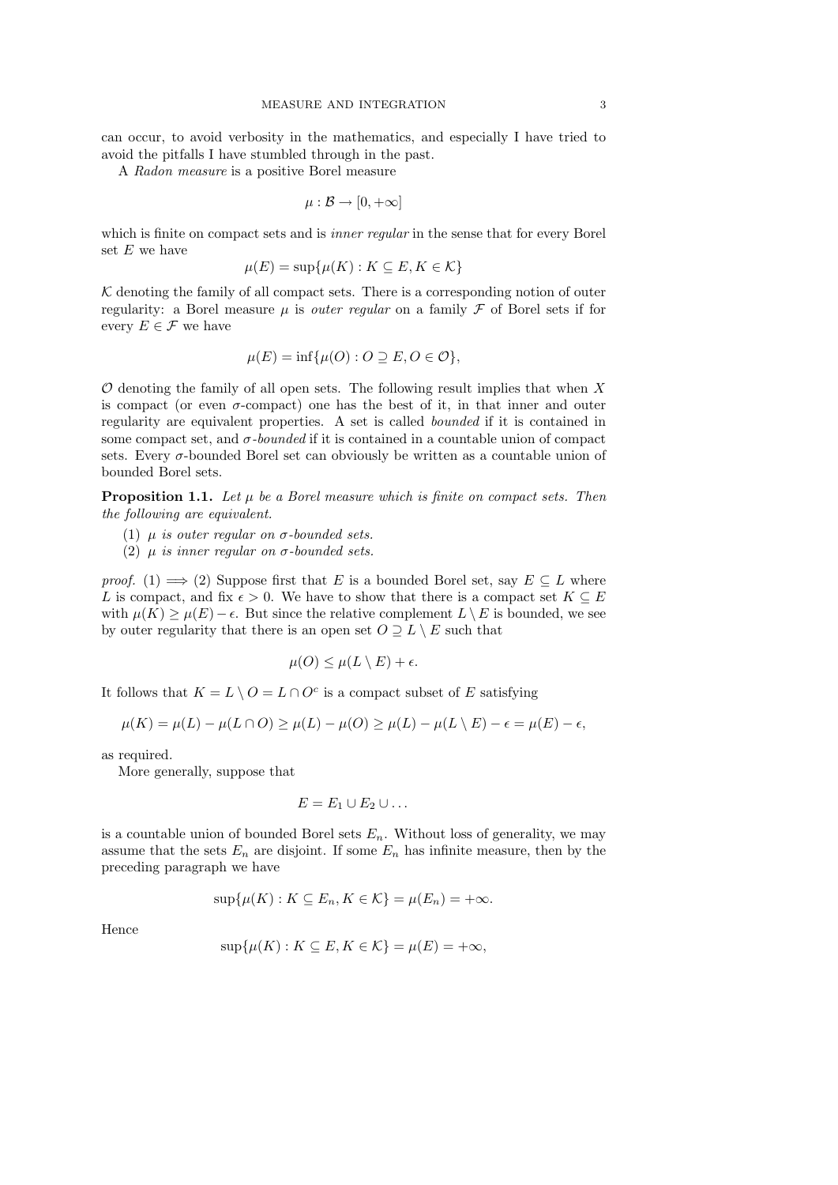can occur, to avoid verbosity in the mathematics, and especially I have tried to avoid the pitfalls I have stumbled through in the past.

A Radon measure is a positive Borel measure

$$
\mu: \mathcal{B} \to [0, +\infty]
$$

which is finite on compact sets and is *inner regular* in the sense that for every Borel set  $E$  we have

$$
\mu(E) = \sup \{ \mu(K) : K \subseteq E, K \in \mathcal{K} \}
$$

 $K$  denoting the family of all compact sets. There is a corresponding notion of outer regularity: a Borel measure  $\mu$  is *outer regular* on a family  $\mathcal F$  of Borel sets if for every  $E \in \mathcal{F}$  we have

$$
\mu(E) = \inf \{ \mu(O) : O \supseteq E, O \in \mathcal{O} \},
$$

 $O$  denoting the family of all open sets. The following result implies that when  $X$ is compact (or even  $\sigma$ -compact) one has the best of it, in that inner and outer regularity are equivalent properties. A set is called bounded if it is contained in some compact set, and  $\sigma$ -bounded if it is contained in a countable union of compact sets. Every σ-bounded Borel set can obviously be written as a countable union of bounded Borel sets.

**Proposition 1.1.** Let  $\mu$  be a Borel measure which is finite on compact sets. Then the following are equivalent.

- (1)  $\mu$  is outer regular on  $\sigma$ -bounded sets.
- (2)  $\mu$  is inner regular on  $\sigma$ -bounded sets.

proof. (1)  $\implies$  (2) Suppose first that E is a bounded Borel set, say  $E \subseteq L$  where L is compact, and fix  $\epsilon > 0$ . We have to show that there is a compact set  $K \subseteq E$ with  $\mu(K) \geq \mu(E) - \epsilon$ . But since the relative complement  $L \setminus E$  is bounded, we see by outer regularity that there is an open set  $O \supseteq L \setminus E$  such that

$$
\mu(O) \le \mu(L \setminus E) + \epsilon.
$$

It follows that  $K = L \setminus O = L \cap O^c$  is a compact subset of E satisfying

$$
\mu(K)=\mu(L)-\mu(L\cap O)\geq \mu(L)-\mu(O)\geq \mu(L)-\mu(L\setminus E)-\epsilon=\mu(E)-\epsilon,
$$

as required.

More generally, suppose that

$$
E=E_1\cup E_2\cup\ldots
$$

is a countable union of bounded Borel sets  $E_n$ . Without loss of generality, we may assume that the sets  $E_n$  are disjoint. If some  $E_n$  has infinite measure, then by the preceding paragraph we have

$$
\sup\{\mu(K): K \subseteq E_n, K \in \mathcal{K}\} = \mu(E_n) = +\infty.
$$

Hence

$$
\sup\{\mu(K): K \subseteq E, K \in \mathcal{K}\} = \mu(E) = +\infty,
$$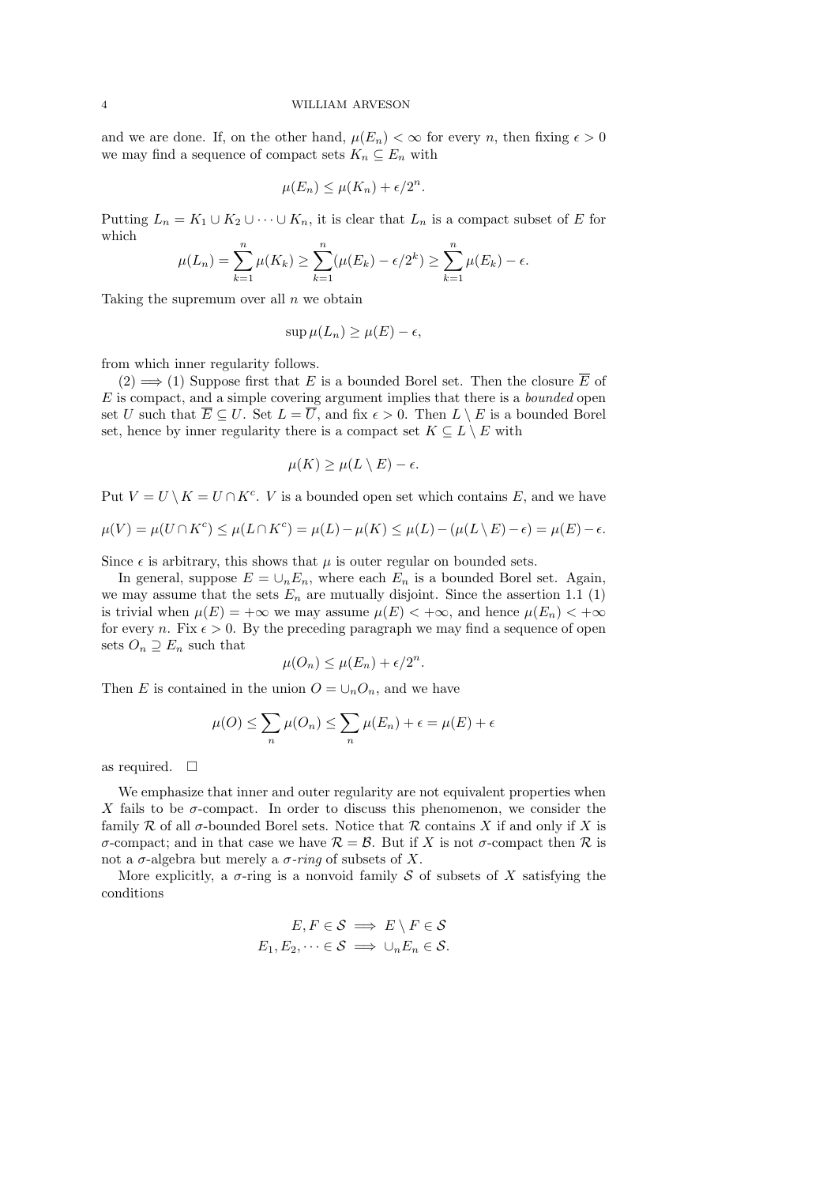and we are done. If, on the other hand,  $\mu(E_n) < \infty$  for every n, then fixing  $\epsilon > 0$ we may find a sequence of compact sets  $K_n \subseteq E_n$  with

$$
\mu(E_n) \le \mu(K_n) + \epsilon/2^n.
$$

Putting  $L_n = K_1 \cup K_2 \cup \cdots \cup K_n$ , it is clear that  $L_n$  is a compact subset of E for which

$$
\mu(L_n) = \sum_{k=1}^n \mu(K_k) \ge \sum_{k=1}^n (\mu(E_k) - \epsilon/2^k) \ge \sum_{k=1}^n \mu(E_k) - \epsilon.
$$

Taking the supremum over all  $n$  we obtain

$$
\sup \mu(L_n) \ge \mu(E) - \epsilon,
$$

from which inner regularity follows.

 $(2) \implies (1)$  Suppose first that E is a bounded Borel set. Then the closure  $\overline{E}$  of  $E$  is compact, and a simple covering argument implies that there is a *bounded* open set U such that  $\overline{E} \subseteq U$ . Set  $L = \overline{U}$ , and fix  $\epsilon > 0$ . Then  $L \setminus E$  is a bounded Borel set, hence by inner regularity there is a compact set  $K \subseteq L \setminus E$  with

$$
\mu(K) \ge \mu(L \setminus E) - \epsilon.
$$

Put  $V = U \setminus K = U \cap K^c$ . *V* is a bounded open set which contains *E*, and we have

$$
\mu(V) = \mu(U \cap K^c) \le \mu(L \cap K^c) = \mu(L) - \mu(K) \le \mu(L) - (\mu(L \setminus E) - \epsilon) = \mu(E) - \epsilon.
$$

Since  $\epsilon$  is arbitrary, this shows that  $\mu$  is outer regular on bounded sets.

In general, suppose  $E = \bigcup_n E_n$ , where each  $E_n$  is a bounded Borel set. Again, we may assume that the sets  $E_n$  are mutually disjoint. Since the assertion 1.1 (1) is trivial when  $\mu(E) = +\infty$  we may assume  $\mu(E) < +\infty$ , and hence  $\mu(E_n) < +\infty$ for every *n*. Fix  $\epsilon > 0$ . By the preceding paragraph we may find a sequence of open sets  $O_n \supseteq E_n$  such that

$$
\mu(O_n) \le \mu(E_n) + \epsilon/2^n.
$$

Then E is contained in the union  $O = \bigcup_n O_n$ , and we have

$$
\mu(O) \le \sum_{n} \mu(O_n) \le \sum_{n} \mu(E_n) + \epsilon = \mu(E) + \epsilon
$$

as required.  $\square$ 

We emphasize that inner and outer regularity are not equivalent properties when X fails to be  $\sigma$ -compact. In order to discuss this phenomenon, we consider the family  $\mathcal R$  of all  $\sigma$ -bounded Borel sets. Notice that  $\mathcal R$  contains X if and only if X is σ-compact; and in that case we have R = B. But if X is not σ-compact then R is not a σ-algebra but merely a σ-ring of subsets of X.

More explicitly, a  $\sigma$ -ring is a nonvoid family S of subsets of X satisfying the conditions

$$
E, F \in \mathcal{S} \implies E \setminus F \in \mathcal{S}
$$
  

$$
E_1, E_2, \dots \in \mathcal{S} \implies \cup_n E_n \in \mathcal{S}.
$$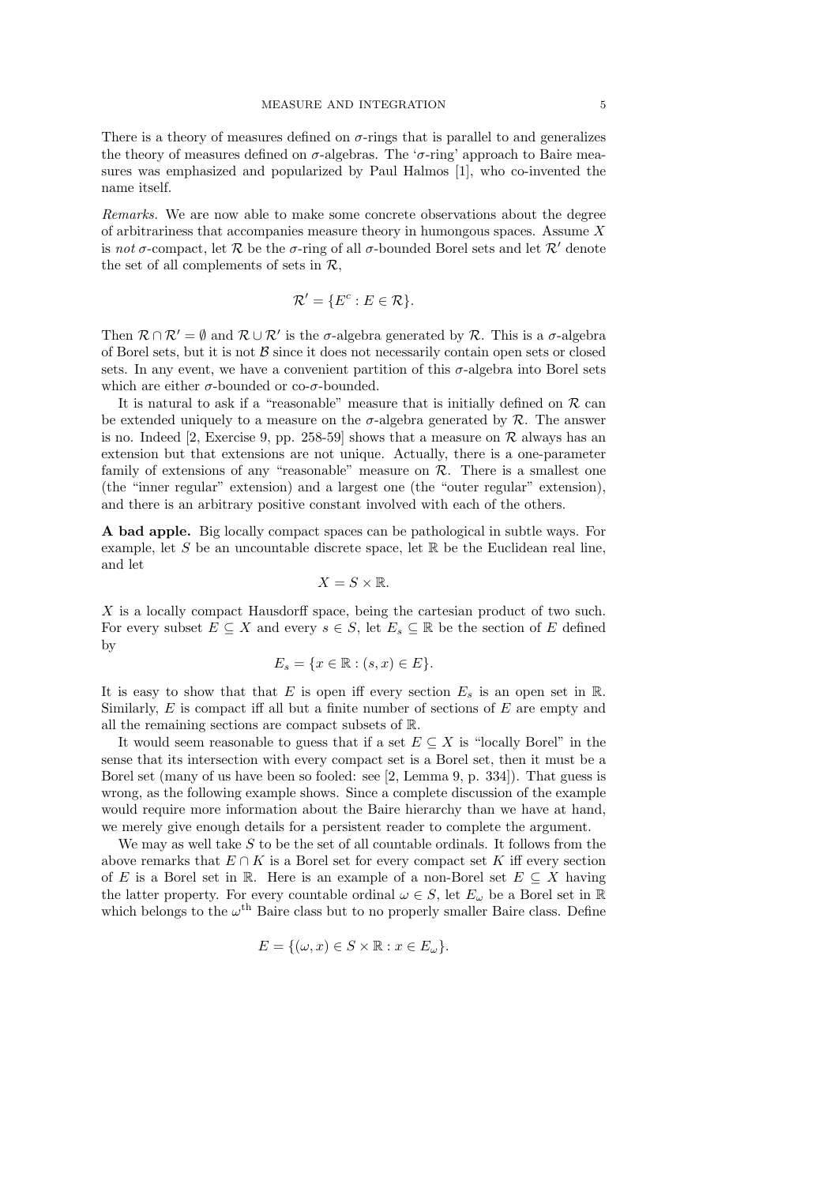There is a theory of measures defined on  $\sigma$ -rings that is parallel to and generalizes the theory of measures defined on  $\sigma$ -algebras. The ' $\sigma$ -ring' approach to Baire measures was emphasized and popularized by Paul Halmos [1], who co-invented the name itself.

Remarks. We are now able to make some concrete observations about the degree of arbitrariness that accompanies measure theory in humongous spaces. Assume  $X$ is not  $\sigma$ -compact, let R be the  $\sigma$ -ring of all  $\sigma$ -bounded Borel sets and let R' denote the set of all complements of sets in R,

$$
\mathcal{R}' = \{ E^c : E \in \mathcal{R} \}.
$$

Then  $\mathcal{R} \cap \mathcal{R}' = \emptyset$  and  $\mathcal{R} \cup \mathcal{R}'$  is the  $\sigma$ -algebra generated by  $\mathcal{R}$ . This is a  $\sigma$ -algebra of Borel sets, but it is not  $\beta$  since it does not necessarily contain open sets or closed sets. In any event, we have a convenient partition of this  $\sigma$ -algebra into Borel sets which are either  $\sigma$ -bounded or co- $\sigma$ -bounded.

It is natural to ask if a "reasonable" measure that is initially defined on  $\mathcal R$  can be extended uniquely to a measure on the  $\sigma$ -algebra generated by  $\mathcal{R}$ . The answer is no. Indeed [2, Exercise 9, pp. 258-59] shows that a measure on  $\mathcal R$  always has an extension but that extensions are not unique. Actually, there is a one-parameter family of extensions of any "reasonable" measure on  $R$ . There is a smallest one (the "inner regular" extension) and a largest one (the "outer regular" extension), and there is an arbitrary positive constant involved with each of the others.

A bad apple. Big locally compact spaces can be pathological in subtle ways. For example, let S be an uncountable discrete space, let  $\mathbb R$  be the Euclidean real line, and let

$$
X=S\times \mathbb{R}.
$$

X is a locally compact Hausdorff space, being the cartesian product of two such. For every subset  $E \subseteq X$  and every  $s \in S$ , let  $E_s \subseteq \mathbb{R}$  be the section of E defined by

$$
E_s = \{ x \in \mathbb{R} : (s, x) \in E \}.
$$

It is easy to show that that E is open iff every section  $E_s$  is an open set in R. Similarly,  $E$  is compact iff all but a finite number of sections of  $E$  are empty and all the remaining sections are compact subsets of R.

It would seem reasonable to guess that if a set  $E \subseteq X$  is "locally Borel" in the sense that its intersection with every compact set is a Borel set, then it must be a Borel set (many of us have been so fooled: see [2, Lemma 9, p. 334]). That guess is wrong, as the following example shows. Since a complete discussion of the example would require more information about the Baire hierarchy than we have at hand, we merely give enough details for a persistent reader to complete the argument.

We may as well take  $S$  to be the set of all countable ordinals. It follows from the above remarks that  $E \cap K$  is a Borel set for every compact set K iff every section of E is a Borel set in R. Here is an example of a non-Borel set  $E \subseteq X$  having the latter property. For every countable ordinal  $\omega \in S$ , let  $E_{\omega}$  be a Borel set in R which belongs to the  $\omega^{\text{th}}$  Baire class but to no properly smaller Baire class. Define

$$
E = \{(\omega, x) \in S \times \mathbb{R} : x \in E_{\omega}\}.
$$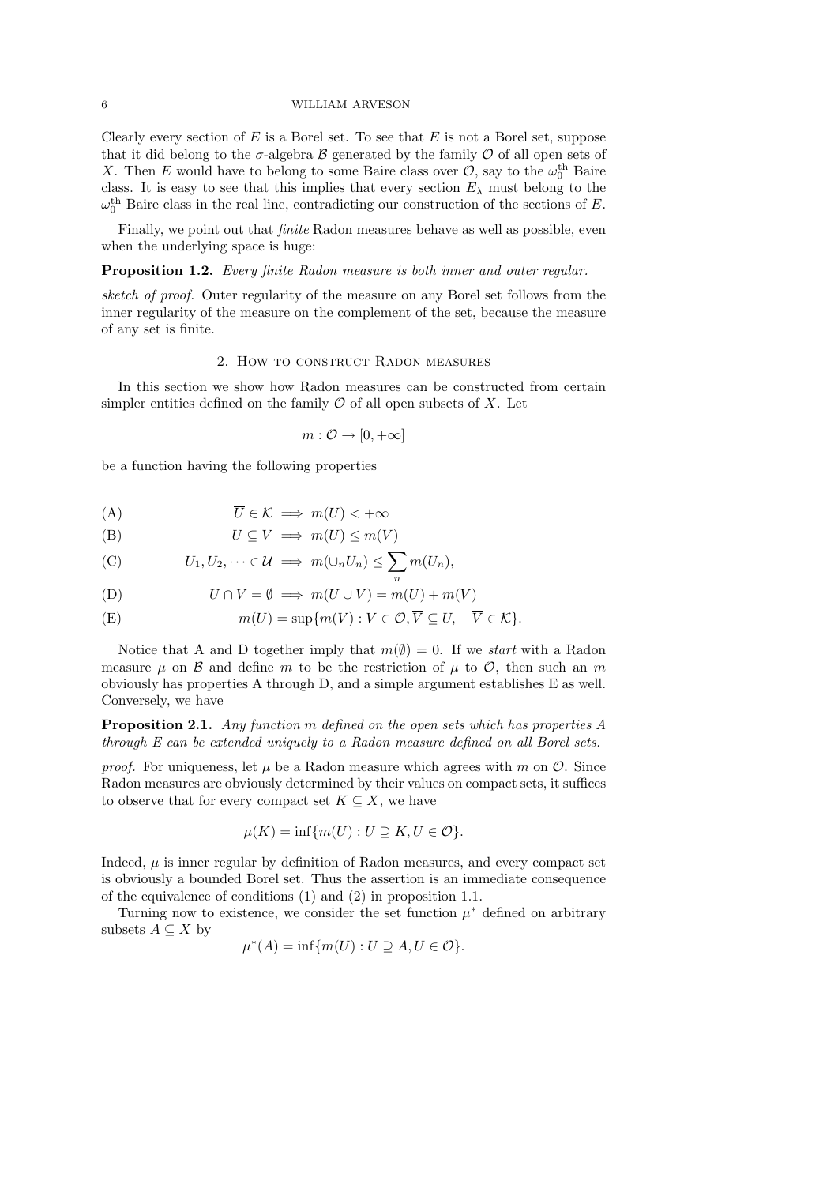Clearly every section of E is a Borel set. To see that E is not a Borel set, suppose that it did belong to the  $\sigma$ -algebra  $\beta$  generated by the family  $\mathcal O$  of all open sets of X. Then E would have to belong to some Baire class over  $\mathcal{O}$ , say to the  $\omega_0^{\text{th}}$  Baire class. It is easy to see that this implies that every section  $E_{\lambda}$  must belong to the  $\omega_0^{\text{th}}$  Baire class in the real line, contradicting our construction of the sections of E.

Finally, we point out that finite Radon measures behave as well as possible, even when the underlying space is huge:

Proposition 1.2. Every finite Radon measure is both inner and outer regular.

sketch of proof. Outer regularity of the measure on any Borel set follows from the inner regularity of the measure on the complement of the set, because the measure of any set is finite.

#### 2. How to construct Radon measures

In this section we show how Radon measures can be constructed from certain simpler entities defined on the family  $\mathcal O$  of all open subsets of X. Let

$$
m: \mathcal{O} \to [0, +\infty]
$$

be a function having the following properties

(A) 
$$
\overline{U} \in \mathcal{K} \implies m(U) < +\infty
$$

(B) 
$$
U \subseteq V \implies m(U) \le m(V)
$$

(C) 
$$
U_1, U_2, \dots \in \mathcal{U} \implies m(\cup_n U_n) \leq \sum_n m(U_n),
$$

(D) 
$$
U \cap V = \emptyset \implies m(U \cup V) = m(U) + m(V)
$$

(E) 
$$
m(U) = \sup \{ m(V) : V \in \mathcal{O}, \overline{V} \subseteq U, \overline{V} \in \mathcal{K} \}.
$$

Notice that A and D together imply that  $m(\emptyset) = 0$ . If we *start* with a Radon measure  $\mu$  on  $\beta$  and define m to be the restriction of  $\mu$  to  $\mathcal{O}$ , then such an m obviously has properties A through D, and a simple argument establishes E as well. Conversely, we have

Proposition 2.1. Any function m defined on the open sets which has properties A through E can be extended uniquely to a Radon measure defined on all Borel sets.

proof. For uniqueness, let  $\mu$  be a Radon measure which agrees with m on  $\mathcal{O}$ . Since Radon measures are obviously determined by their values on compact sets, it suffices to observe that for every compact set  $K \subseteq X$ , we have

$$
\mu(K) = \inf \{ m(U) : U \supseteq K, U \in \mathcal{O} \}.
$$

Indeed,  $\mu$  is inner regular by definition of Radon measures, and every compact set is obviously a bounded Borel set. Thus the assertion is an immediate consequence of the equivalence of conditions (1) and (2) in proposition 1.1.

Turning now to existence, we consider the set function  $\mu^*$  defined on arbitrary subsets  $A \subseteq X$  by

$$
\mu^*(A) = \inf \{ m(U) : U \supseteq A, U \in \mathcal{O} \}.
$$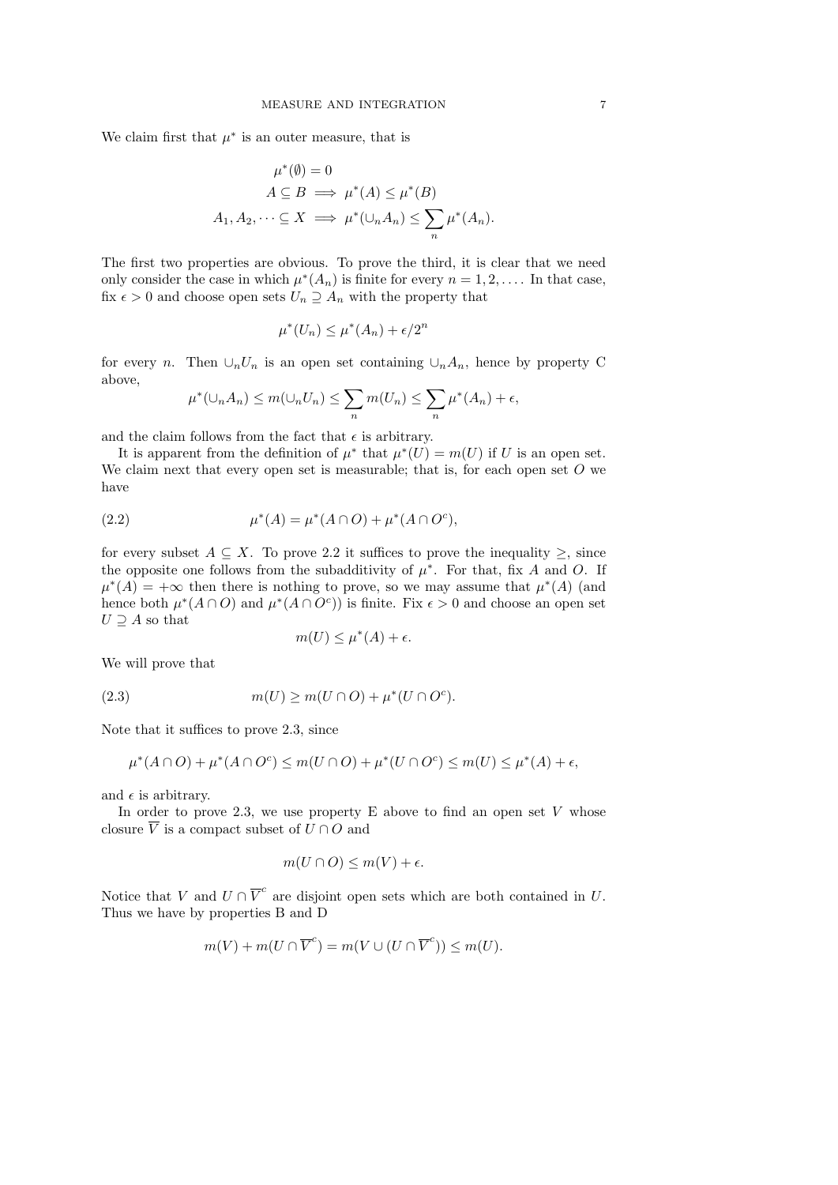We claim first that  $\mu^*$  is an outer measure, that is

$$
\mu^*(\emptyset) = 0
$$
  
\n
$$
A \subseteq B \implies \mu^*(A) \le \mu^*(B)
$$
  
\n
$$
A_1, A_2, \dots \subseteq X \implies \mu^*(\cup_n A_n) \le \sum_n \mu^*(A_n).
$$

The first two properties are obvious. To prove the third, it is clear that we need only consider the case in which  $\mu^*(A_n)$  is finite for every  $n = 1, 2, \ldots$ . In that case, fix  $\epsilon > 0$  and choose open sets  $U_n \supseteq A_n$  with the property that

$$
\mu^*(U_n) \le \mu^*(A_n) + \epsilon/2^n
$$

for every n. Then  $\cup_n U_n$  is an open set containing  $\cup_n A_n$ , hence by property C above,

$$
\mu^*(\cup_n A_n) \le m(\cup_n U_n) \le \sum_n m(U_n) \le \sum_n \mu^*(A_n) + \epsilon,
$$

and the claim follows from the fact that  $\epsilon$  is arbitrary.

It is apparent from the definition of  $\mu^*$  that  $\mu^*(U) = m(U)$  if U is an open set. We claim next that every open set is measurable; that is, for each open set  $O$  we have

(2.2) 
$$
\mu^*(A) = \mu^*(A \cap O) + \mu^*(A \cap O^c),
$$

for every subset  $A \subseteq X$ . To prove 2.2 it suffices to prove the inequality  $\geq$ , since the opposite one follows from the subadditivity of  $\mu^*$ . For that, fix A and O. If  $\mu^*(A) = +\infty$  then there is nothing to prove, so we may assume that  $\mu^*(A)$  (and hence both  $\mu^*(A \cap O)$  and  $\mu^*(A \cap O^c)$  is finite. Fix  $\epsilon > 0$  and choose an open set  $U \supseteq A$  so that

$$
m(U) \le \mu^*(A) + \epsilon.
$$

We will prove that

(2.3) 
$$
m(U) \ge m(U \cap O) + \mu^*(U \cap O^c).
$$

Note that it suffices to prove 2.3, since

$$
\mu^*(A \cap O) + \mu^*(A \cap O^c) \le m(U \cap O) + \mu^*(U \cap O^c) \le m(U) \le \mu^*(A) + \epsilon,
$$

and  $\epsilon$  is arbitrary.

In order to prove 2.3, we use property  $E$  above to find an open set  $V$  whose closure  $\overline{V}$  is a compact subset of  $U \cap O$  and

$$
m(U \cap O) \le m(V) + \epsilon.
$$

Notice that V and  $U \cap \overline{V}^c$  are disjoint open sets which are both contained in U. Thus we have by properties B and D

$$
m(V) + m(U \cap \overline{V}^c) = m(V \cup (U \cap \overline{V}^c)) \le m(U).
$$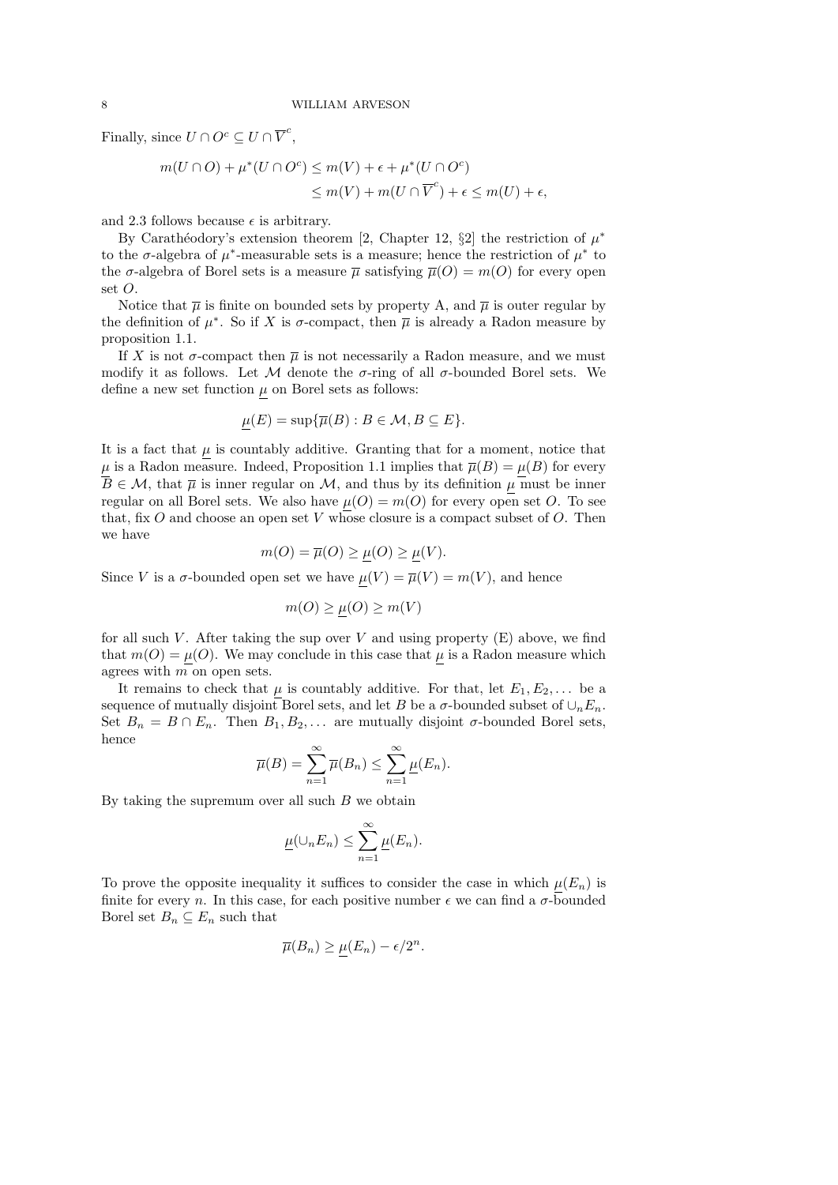Finally, since  $U \cap O^c \subseteq U \cap \overline{V}^c$ ,

$$
m(U \cap O) + \mu^*(U \cap O^c) \le m(V) + \epsilon + \mu^*(U \cap O^c)
$$
  

$$
\le m(V) + m(U \cap \overline{V}^c) + \epsilon \le m(U) + \epsilon,
$$

and 2.3 follows because  $\epsilon$  is arbitrary.

By Carathéodory's extension theorem [2, Chapter 12, §2] the restriction of  $\mu^*$ to the  $\sigma$ -algebra of  $\mu^*$ -measurable sets is a measure; hence the restriction of  $\mu^*$  to the  $\sigma$ -algebra of Borel sets is a measure  $\bar{\mu}$  satisfying  $\bar{\mu}(O) = m(O)$  for every open set  $O$ .

Notice that  $\bar{\mu}$  is finite on bounded sets by property A, and  $\bar{\mu}$  is outer regular by the definition of  $\mu^*$ . So if X is  $\sigma$ -compact, then  $\overline{\mu}$  is already a Radon measure by proposition 1.1.

If X is not  $\sigma$ -compact then  $\overline{\mu}$  is not necessarily a Radon measure, and we must modify it as follows. Let M denote the  $\sigma$ -ring of all  $\sigma$ -bounded Borel sets. We define a new set function  $\mu$  on Borel sets as follows:

$$
\mu(E) = \sup \{ \overline{\mu}(B) : B \in \mathcal{M}, B \subseteq E \}.
$$

It is a fact that  $\mu$  is countably additive. Granting that for a moment, notice that  $\mu$  is a Radon measure. Indeed, Proposition 1.1 implies that  $\overline{\mu}(B) = \mu(B)$  for every  $B \in \mathcal{M}$ , that  $\overline{\mu}$  is inner regular on  $\mathcal{M}$ , and thus by its definition  $\mu$  must be inner regular on all Borel sets. We also have  $\mu(O) = m(O)$  for every open set O. To see that, fix  $O$  and choose an open set  $V$  whose closure is a compact subset of  $O$ . Then we have

$$
m(O) = \overline{\mu}(O) \ge \mu(O) \ge \mu(V).
$$

Since V is a  $\sigma$ -bounded open set we have  $\underline{\mu}(V) = \overline{\mu}(V) = m(V)$ , and hence

$$
m(O) \ge \mu(O) \ge m(V)
$$

for all such V. After taking the sup over V and using property  $(E)$  above, we find that  $m(O) = \mu(O)$ . We may conclude in this case that  $\mu$  is a Radon measure which agrees with m on open sets.

It remains to check that  $\mu$  is countably additive. For that, let  $E_1, E_2, \ldots$  be a sequence of mutually disjoint Borel sets, and let B be a  $\sigma$ -bounded subset of  $\cup_n E_n$ . Set  $B_n = B \cap E_n$ . Then  $B_1, B_2, \ldots$  are mutually disjoint  $\sigma$ -bounded Borel sets, hence

$$
\overline{\mu}(B) = \sum_{n=1}^{\infty} \overline{\mu}(B_n) \le \sum_{n=1}^{\infty} \underline{\mu}(E_n).
$$

By taking the supremum over all such  $B$  we obtain

$$
\underline{\mu}(\cup_n E_n) \leq \sum_{n=1}^{\infty} \underline{\mu}(E_n).
$$

To prove the opposite inequality it suffices to consider the case in which  $\mu(E_n)$  is finite for every n. In this case, for each positive number  $\epsilon$  we can find a  $\sigma$ -bounded Borel set  $B_n\subseteq E_n$  such that

$$
\overline{\mu}(B_n) \ge \mu(E_n) - \epsilon/2^n.
$$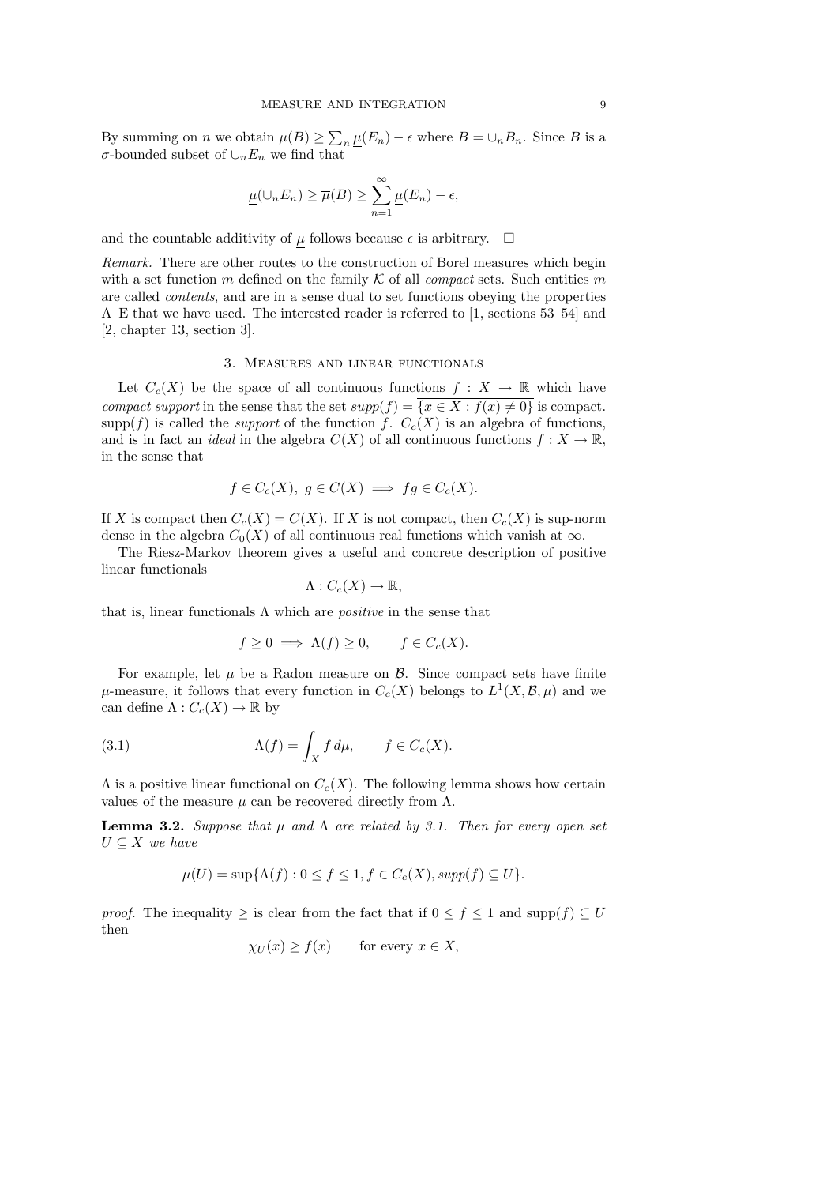By summing on *n* we obtain  $\overline{\mu}(B) \ge \sum_n \mu(E_n) - \epsilon$  where  $B = \cup_n B_n$ . Since B is a σ-bounded subset of ∪nE<sup>n</sup> we find that

$$
\underline{\mu}(\cup_n E_n) \ge \overline{\mu}(B) \ge \sum_{n=1}^{\infty} \underline{\mu}(E_n) - \epsilon,
$$

and the countable additivity of  $\mu$  follows because  $\epsilon$  is arbitrary.  $\Box$ 

Remark. There are other routes to the construction of Borel measures which begin with a set function m defined on the family  $K$  of all *compact* sets. Such entities m are called contents, and are in a sense dual to set functions obeying the properties A–E that we have used. The interested reader is referred to [1, sections 53–54] and [2, chapter 13, section 3].

#### 3. Measures and linear functionals

Let  $C_c(X)$  be the space of all continuous functions  $f: X \to \mathbb{R}$  which have compact support in the sense that the set  $supp(f) = \{x \in X : f(x) \neq 0\}$  is compact.  $\text{supp}(f)$  is called the *support* of the function f.  $C_c(X)$  is an algebra of functions, and is in fact an *ideal* in the algebra  $C(X)$  of all continuous functions  $f: X \to \mathbb{R}$ , in the sense that

$$
f \in C_c(X), \ g \in C(X) \implies fg \in C_c(X).
$$

If X is compact then  $C_c(X) = C(X)$ . If X is not compact, then  $C_c(X)$  is sup-norm dense in the algebra  $C_0(X)$  of all continuous real functions which vanish at  $\infty$ .

The Riesz-Markov theorem gives a useful and concrete description of positive linear functionals

$$
\Lambda:C_c(X)\to\mathbb{R},
$$

that is, linear functionals  $\Lambda$  which are *positive* in the sense that

$$
f \ge 0 \implies \Lambda(f) \ge 0, \qquad f \in C_c(X).
$$

For example, let  $\mu$  be a Radon measure on  $\beta$ . Since compact sets have finite  $\mu$ -measure, it follows that every function in  $C_c(X)$  belongs to  $L^1(X,\mathcal{B},\mu)$  and we can define  $\Lambda: C_c(X) \to \mathbb{R}$  by

(3.1) 
$$
\Lambda(f) = \int_X f d\mu, \qquad f \in C_c(X).
$$

 $\Lambda$  is a positive linear functional on  $C_c(X)$ . The following lemma shows how certain values of the measure  $\mu$  can be recovered directly from  $\Lambda$ .

**Lemma 3.2.** Suppose that  $\mu$  and  $\Lambda$  are related by 3.1. Then for every open set  $U\subseteq X$  we have

$$
\mu(U) = \sup \{ \Lambda(f) : 0 \le f \le 1, f \in C_c(X), supp(f) \subseteq U \}.
$$

*proof.* The inequality  $\geq$  is clear from the fact that if  $0 \leq f \leq 1$  and supp $(f) \subseteq U$ then

$$
\chi_U(x) \ge f(x) \qquad \text{for every } x \in X,
$$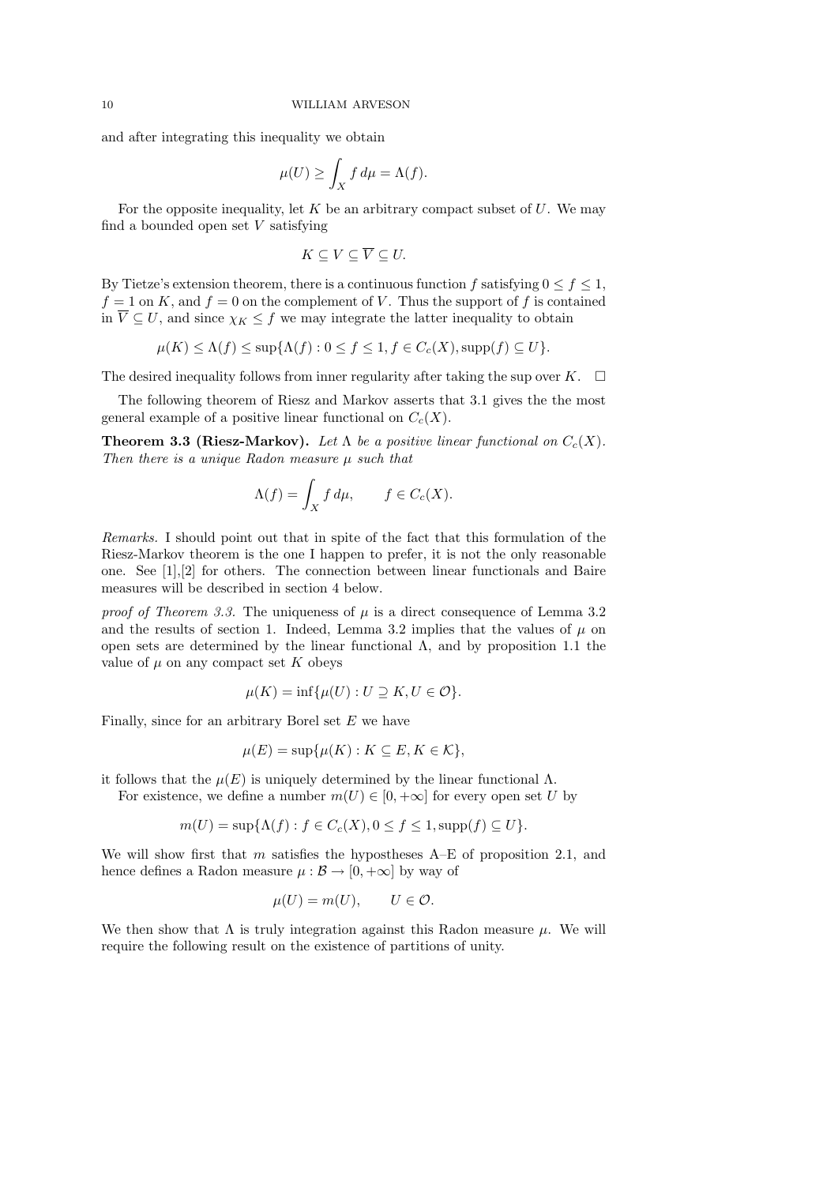and after integrating this inequality we obtain

$$
\mu(U) \ge \int_X f \, d\mu = \Lambda(f).
$$

For the opposite inequality, let  $K$  be an arbitrary compact subset of  $U$ . We may find a bounded open set  $V$  satisfying

$$
K\subseteq V\subseteq\overline{V}\subseteq U.
$$

By Tietze's extension theorem, there is a continuous function f satisfying  $0 \le f \le 1$ ,  $f = 1$  on K, and  $f = 0$  on the complement of V. Thus the support of f is contained in  $\overline{V} \subseteq U$ , and since  $\chi_K \leq f$  we may integrate the latter inequality to obtain

$$
\mu(K) \le \Lambda(f) \le \sup\{\Lambda(f) : 0 \le f \le 1, f \in C_c(X), \operatorname{supp}(f) \subseteq U\}.
$$

The desired inequality follows from inner regularity after taking the sup over K.  $\Box$ 

The following theorem of Riesz and Markov asserts that 3.1 gives the the most general example of a positive linear functional on  $C_c(X)$ .

**Theorem 3.3 (Riesz-Markov).** Let  $\Lambda$  be a positive linear functional on  $C_c(X)$ . Then there is a unique Radon measure  $\mu$  such that

$$
\Lambda(f) = \int_X f \, d\mu, \qquad f \in C_c(X).
$$

Remarks. I should point out that in spite of the fact that this formulation of the Riesz-Markov theorem is the one I happen to prefer, it is not the only reasonable one. See [1],[2] for others. The connection between linear functionals and Baire measures will be described in section 4 below.

proof of Theorem 3.3. The uniqueness of  $\mu$  is a direct consequence of Lemma 3.2 and the results of section 1. Indeed, Lemma 3.2 implies that the values of  $\mu$  on open sets are determined by the linear functional Λ, and by proposition 1.1 the value of  $\mu$  on any compact set K obeys

$$
\mu(K) = \inf \{ \mu(U) : U \supseteq K, U \in \mathcal{O} \}.
$$

Finally, since for an arbitrary Borel set  $E$  we have

$$
\mu(E) = \sup \{ \mu(K) : K \subseteq E, K \in \mathcal{K} \},
$$

it follows that the  $\mu(E)$  is uniquely determined by the linear functional  $\Lambda$ .

For existence, we define a number  $m(U) \in [0, +\infty]$  for every open set U by

$$
m(U) = \sup \{ \Lambda(f) : f \in C_c(X), 0 \le f \le 1, \operatorname{supp}(f) \subseteq U \}.
$$

We will show first that m satisfies the hypostheses  $A-E$  of proposition 2.1, and hence defines a Radon measure  $\mu : \mathcal{B} \to [0, +\infty]$  by way of

$$
\mu(U) = m(U), \qquad U \in \mathcal{O}.
$$

We then show that  $\Lambda$  is truly integration against this Radon measure  $\mu$ . We will require the following result on the existence of partitions of unity.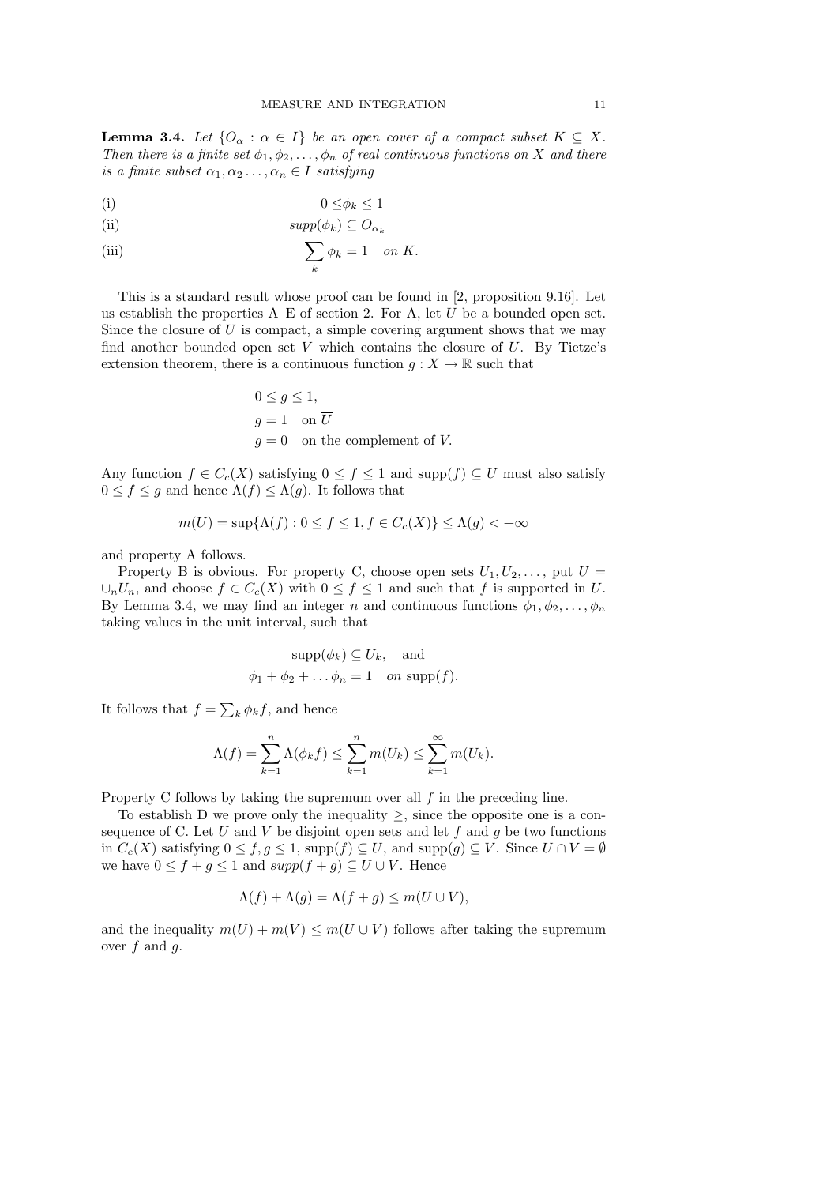**Lemma 3.4.** Let  $\{O_{\alpha} : \alpha \in I\}$  be an open cover of a compact subset  $K \subseteq X$ . Then there is a finite set  $\phi_1, \phi_2, \ldots, \phi_n$  of real continuous functions on X and there is a finite subset  $\alpha_1, \alpha_2 \ldots, \alpha_n \in I$  satisfying

$$
(i) \t\t 0 \le \phi_k \le 1
$$

(ii) 
$$
supp(\phi_k) \subseteq O_{\alpha_k}
$$

(iii) 
$$
\sum_{k} \phi_k = 1 \quad on \ K.
$$

This is a standard result whose proof can be found in [2, proposition 9.16]. Let us establish the properties  $A-E$  of section 2. For A, let  $U$  be a bounded open set. Since the closure of  $U$  is compact, a simple covering argument shows that we may find another bounded open set V which contains the closure of  $U$ . By Tietze's extension theorem, there is a continuous function  $g: X \to \mathbb{R}$  such that

$$
0 \le g \le 1,
$$
  
 
$$
g = 1 \quad \text{on } \overline{U}
$$
  
 
$$
g = 0 \quad \text{on the complement of } V.
$$

Any function  $f \in C_c(X)$  satisfying  $0 \le f \le 1$  and  $\text{supp}(f) \subseteq U$  must also satisfy  $0 \le f \le g$  and hence  $\Lambda(f) \le \Lambda(g)$ . It follows that

$$
m(U) = \sup\{\Lambda(f) : 0 \le f \le 1, f \in C_c(X)\} \le \Lambda(g) < +\infty
$$

and property A follows.

Property B is obvious. For property C, choose open sets  $U_1, U_2, \ldots$ , put  $U =$  $\cup_n U_n$ , and choose  $f \in C_c(X)$  with  $0 \le f \le 1$  and such that f is supported in U. By Lemma 3.4, we may find an integer n and continuous functions  $\phi_1, \phi_2, \ldots, \phi_n$ taking values in the unit interval, such that

$$
supp(\phi_k) \subseteq U_k
$$
, and  
 $\phi_1 + \phi_2 + \dots + \phi_n = 1$  on  $supp(f)$ .

It follows that  $f = \sum_{k} \phi_k f$ , and hence

$$
\Lambda(f) = \sum_{k=1}^{n} \Lambda(\phi_k f) \le \sum_{k=1}^{n} m(U_k) \le \sum_{k=1}^{\infty} m(U_k).
$$

Property C follows by taking the supremum over all  $f$  in the preceding line.

To establish D we prove only the inequality  $\geq$ , since the opposite one is a consequence of C. Let U and V be disjoint open sets and let  $f$  and  $g$  be two functions in  $C_c(X)$  satisfying  $0 \le f, g \le 1$ , supp $(f) \subseteq U$ , and supp $(g) \subseteq V$ . Since  $U \cap V = \emptyset$ we have  $0 \le f + g \le 1$  and  $supp(f + g) \subseteq U \cup V$ . Hence

$$
\Lambda(f) + \Lambda(g) = \Lambda(f + g) \le m(U \cup V),
$$

and the inequality  $m(U) + m(V) \le m(U \cup V)$  follows after taking the supremum over  $f$  and  $g$ .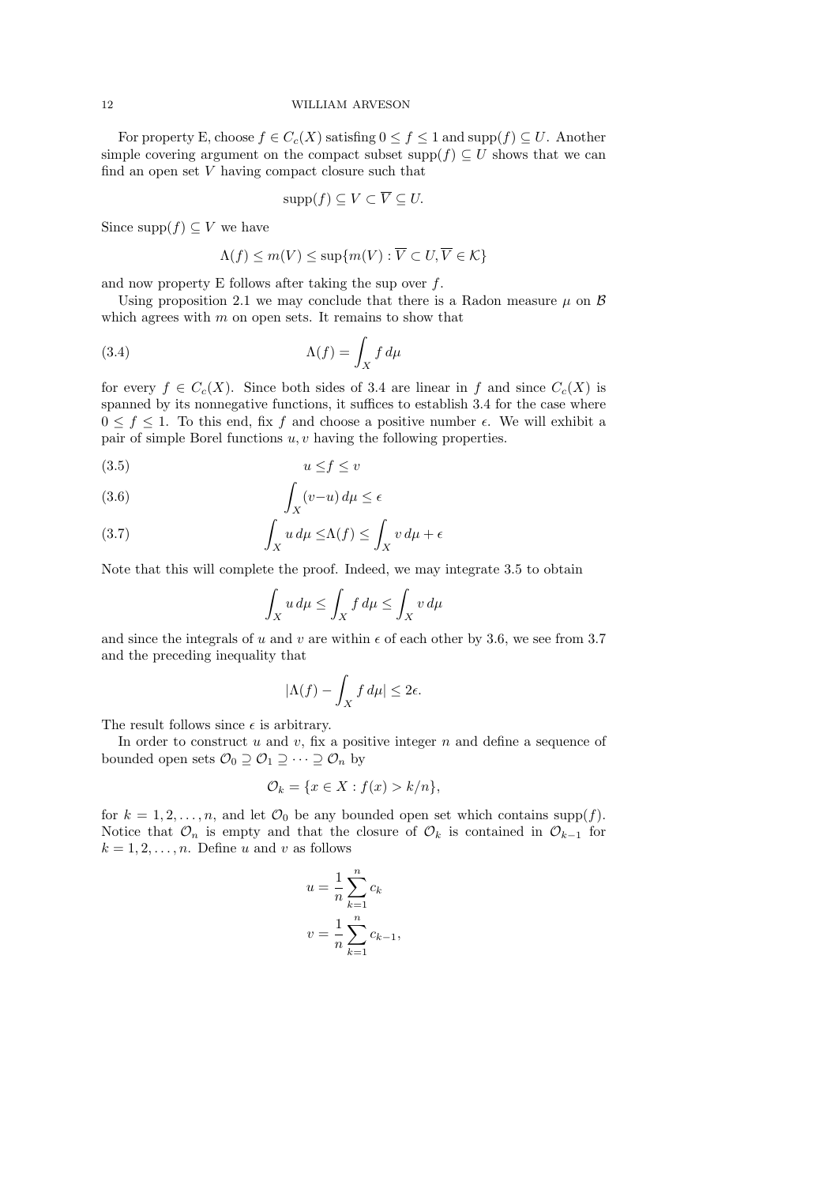For property E, choose  $f \in C_c(X)$  satisfing  $0 \le f \le 1$  and supp $(f) \subseteq U$ . Another simple covering argument on the compact subset supp $(f) \subseteq U$  shows that we can find an open set  $V$  having compact closure such that

$$
\mathrm{supp}(f) \subseteq V \subset \overline{V} \subseteq U.
$$

Since supp $(f) \subseteq V$  we have

$$
\Lambda(f) \le m(V) \le \sup\{m(V) : \overline{V} \subset U, \overline{V} \in \mathcal{K}\}\
$$

and now property E follows after taking the sup over  $f$ .

Using proposition 2.1 we may conclude that there is a Radon measure  $\mu$  on  $\beta$ which agrees with  $m$  on open sets. It remains to show that

(3.4) 
$$
\Lambda(f) = \int_X f d\mu
$$

for every  $f \in C_c(X)$ . Since both sides of 3.4 are linear in f and since  $C_c(X)$  is spanned by its nonnegative functions, it suffices to establish 3.4 for the case where  $0 \leq f \leq 1$ . To this end, fix f and choose a positive number  $\epsilon$ . We will exhibit a pair of simple Borel functions  $u, v$  having the following properties.

$$
(3.5) \t\t u \le f \le v
$$

(3.6) 
$$
\int_X (v-u) \, d\mu \le \epsilon
$$

(3.7) 
$$
\int_X u \, d\mu \leq \Lambda(f) \leq \int_X v \, d\mu + \epsilon
$$

Note that this will complete the proof. Indeed, we may integrate 3.5 to obtain

$$
\int_X u \, d\mu \le \int_X f \, d\mu \le \int_X v \, d\mu
$$

and since the integrals of u and v are within  $\epsilon$  of each other by 3.6, we see from 3.7 and the preceding inequality that

$$
|\Lambda(f) - \int_X f \, d\mu| \le 2\epsilon.
$$

The result follows since  $\epsilon$  is arbitrary.

In order to construct  $u$  and  $v$ , fix a positive integer  $n$  and define a sequence of bounded open sets  $\mathcal{O}_0 \supseteq \mathcal{O}_1 \supseteq \cdots \supseteq \mathcal{O}_n$  by

$$
\mathcal{O}_k = \{ x \in X : f(x) > k/n \},\
$$

for  $k = 1, 2, ..., n$ , and let  $\mathcal{O}_0$  be any bounded open set which contains supp(f). Notice that  $\mathcal{O}_n$  is empty and that the closure of  $\mathcal{O}_k$  is contained in  $\mathcal{O}_{k-1}$  for  $k = 1, 2, \ldots, n$ . Define u and v as follows

$$
u = \frac{1}{n} \sum_{k=1}^{n} c_k
$$
  

$$
v = \frac{1}{n} \sum_{k=1}^{n} c_{k-1},
$$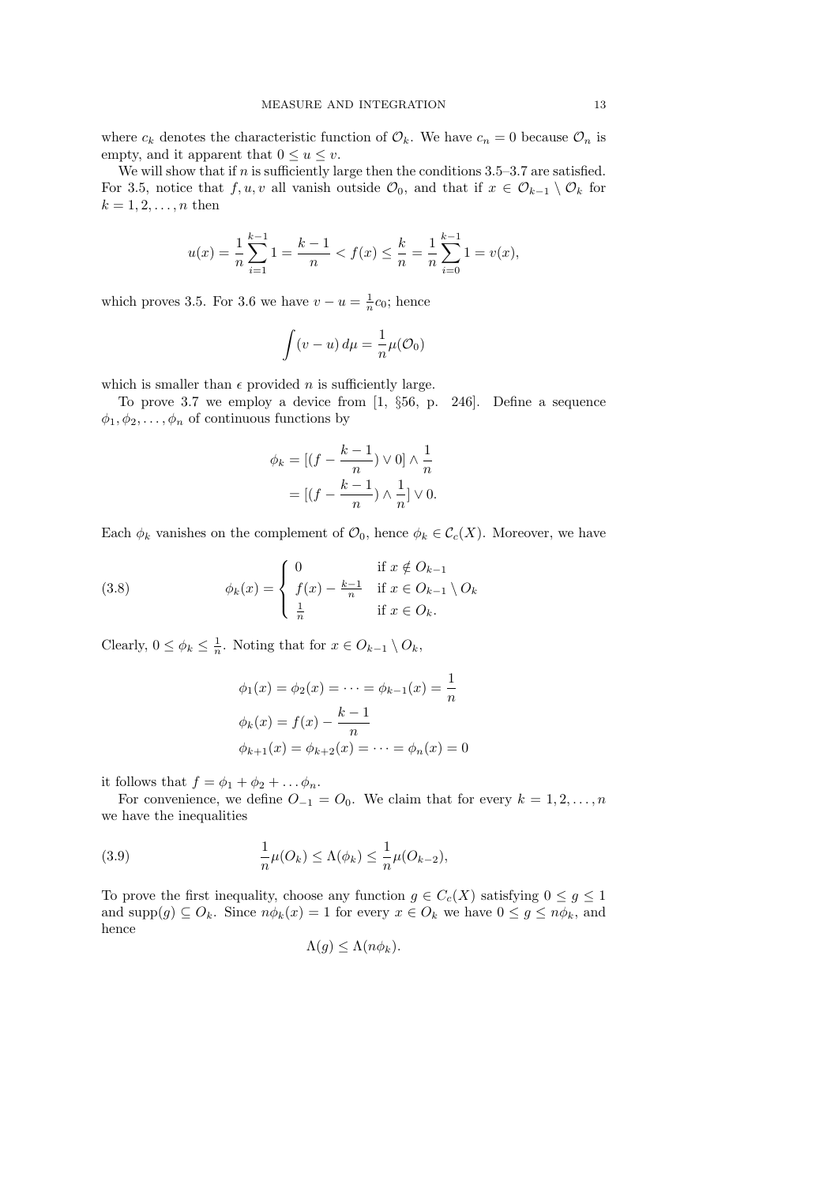where  $c_k$  denotes the characteristic function of  $\mathcal{O}_k$ . We have  $c_n = 0$  because  $\mathcal{O}_n$  is empty, and it apparent that  $0 \le u \le v$ .

We will show that if  $n$  is sufficiently large then the conditions 3.5–3.7 are satisfied. For 3.5, notice that f, u, v all vanish outside  $\mathcal{O}_0$ , and that if  $x \in \mathcal{O}_{k-1} \setminus \mathcal{O}_k$  for  $k = 1, 2, \ldots, n$  then

$$
u(x) = \frac{1}{n} \sum_{i=1}^{k-1} 1 = \frac{k-1}{n} < f(x) \le \frac{k}{n} = \frac{1}{n} \sum_{i=0}^{k-1} 1 = v(x),
$$

which proves 3.5. For 3.6 we have  $v - u = \frac{1}{n}$  $\frac{1}{n}c_0$ ; hence

$$
\int (v - u) d\mu = \frac{1}{n}\mu(\mathcal{O}_0)
$$

which is smaller than  $\epsilon$  provided *n* is sufficiently large.

To prove 3.7 we employ a device from [1, §56, p. 246]. Define a sequence  $\phi_1, \phi_2, \ldots, \phi_n$  of continuous functions by

$$
\phi_k = \left[ (f - \frac{k-1}{n}) \vee 0 \right] \wedge \frac{1}{n}
$$

$$
= \left[ (f - \frac{k-1}{n}) \wedge \frac{1}{n} \right] \vee 0.
$$

Each  $\phi_k$  vanishes on the complement of  $\mathcal{O}_0$ , hence  $\phi_k \in \mathcal{C}_c(X)$ . Moreover, we have

(3.8) 
$$
\phi_k(x) = \begin{cases} 0 & \text{if } x \notin O_{k-1} \\ f(x) - \frac{k-1}{n} & \text{if } x \in O_{k-1} \setminus O_k \\ \frac{1}{n} & \text{if } x \in O_k. \end{cases}
$$

Clearly,  $0 \leq \phi_k \leq \frac{1}{n}$  $\frac{1}{n}$ . Noting that for  $x \in O_{k-1} \setminus O_k$ ,

$$
\phi_1(x) = \phi_2(x) = \dots = \phi_{k-1}(x) = \frac{1}{n}
$$

$$
\phi_k(x) = f(x) - \frac{k-1}{n}
$$

$$
\phi_{k+1}(x) = \phi_{k+2}(x) = \dots = \phi_n(x) = 0
$$

it follows that  $f = \phi_1 + \phi_2 + \dots + \phi_n$ .

For convenience, we define  $O_{-1} = O_0$ . We claim that for every  $k = 1, 2, ..., n$ we have the inequalities

(3.9) 
$$
\frac{1}{n}\mu(O_k) \leq \Lambda(\phi_k) \leq \frac{1}{n}\mu(O_{k-2}),
$$

To prove the first inequality, choose any function  $g \in C_c(X)$  satisfying  $0 \le g \le 1$ and supp $(g) \subseteq O_k$ . Since  $n\phi_k(x) = 1$  for every  $x \in O_k$  we have  $0 \le g \le n\phi_k$ , and hence

$$
\Lambda(g) \le \Lambda(n\phi_k).
$$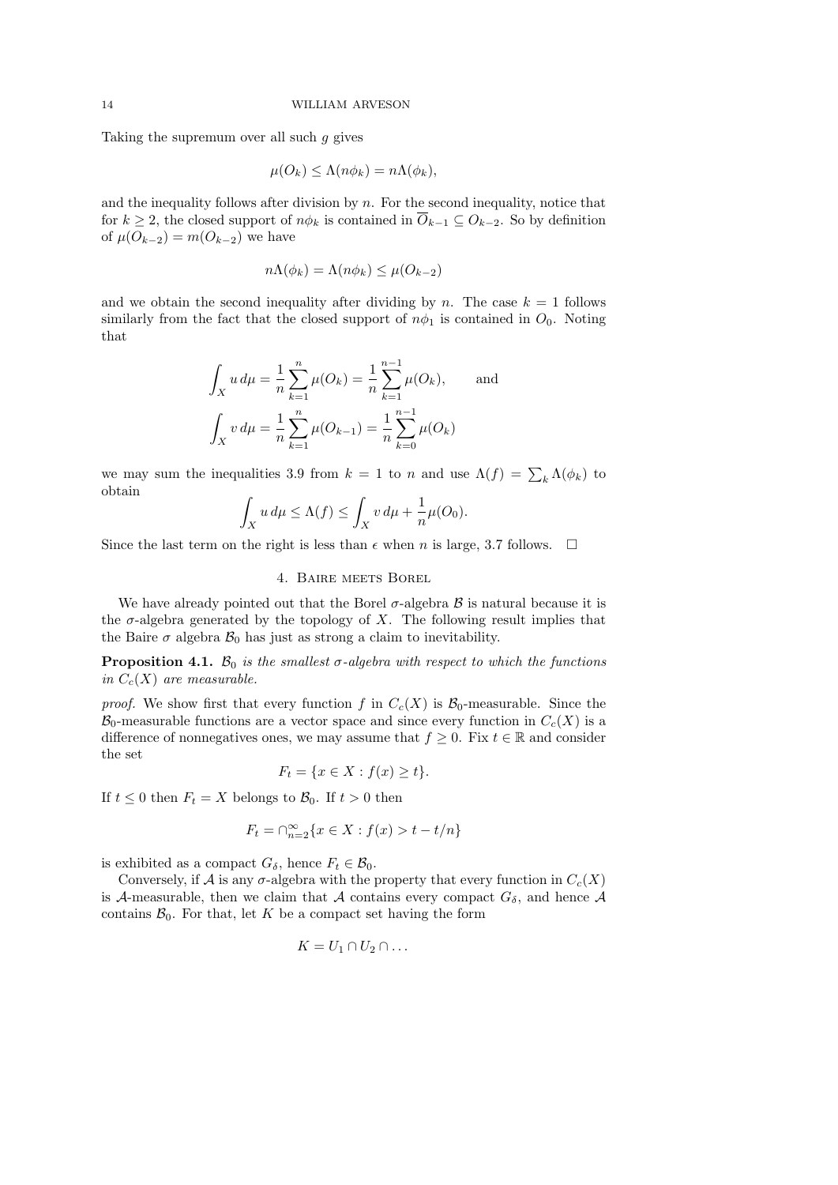Taking the supremum over all such g gives

$$
\mu(O_k) \leq \Lambda(n\phi_k) = n\Lambda(\phi_k),
$$

and the inequality follows after division by  $n$ . For the second inequality, notice that for  $k \geq 2$ , the closed support of  $n\phi_k$  is contained in  $O_{k-1} \subseteq O_{k-2}$ . So by definition of  $\mu(O_{k-2}) = m(O_{k-2})$  we have

$$
n\Lambda(\phi_k) = \Lambda(n\phi_k) \le \mu(O_{k-2})
$$

and we obtain the second inequality after dividing by n. The case  $k = 1$  follows similarly from the fact that the closed support of  $n\phi_1$  is contained in  $O_0$ . Noting that

$$
\int_X u \, d\mu = \frac{1}{n} \sum_{k=1}^n \mu(O_k) = \frac{1}{n} \sum_{k=1}^{n-1} \mu(O_k), \quad \text{and}
$$

$$
\int_X v \, d\mu = \frac{1}{n} \sum_{k=1}^n \mu(O_{k-1}) = \frac{1}{n} \sum_{k=0}^{n-1} \mu(O_k)
$$

we may sum the inequalities 3.9 from  $k = 1$  to n and use  $\Lambda(f) = \sum_{k} \Lambda(\phi_k)$  to obtain

$$
\int_X u \, d\mu \le \Lambda(f) \le \int_X v \, d\mu + \frac{1}{n} \mu(O_0).
$$

Since the last term on the right is less than  $\epsilon$  when n is large, 3.7 follows.  $\Box$ 

### 4. Baire meets Borel

We have already pointed out that the Borel  $\sigma$ -algebra  $\beta$  is natural because it is the  $\sigma$ -algebra generated by the topology of X. The following result implies that the Baire  $\sigma$  algebra  $\mathcal{B}_0$  has just as strong a claim to inevitability.

**Proposition 4.1.**  $\mathcal{B}_0$  is the smallest  $\sigma$ -algebra with respect to which the functions in  $C_c(X)$  are measurable.

*proof.* We show first that every function f in  $C_c(X)$  is  $\mathcal{B}_0$ -measurable. Since the  $\mathcal{B}_0$ -measurable functions are a vector space and since every function in  $C_c(X)$  is a difference of nonnegatives ones, we may assume that  $f \geq 0$ . Fix  $t \in \mathbb{R}$  and consider the set

$$
F_t = \{ x \in X : f(x) \ge t \}.
$$

If  $t \leq 0$  then  $F_t = X$  belongs to  $\mathcal{B}_0$ . If  $t > 0$  then

$$
F_t = \bigcap_{n=2}^\infty \{x \in X : f(x) > t - t/n\}
$$

is exhibited as a compact  $G_{\delta}$ , hence  $F_t \in \mathcal{B}_0$ .

Conversely, if A is any  $\sigma$ -algebra with the property that every function in  $C_c(X)$ is A-measurable, then we claim that A contains every compact  $G_{\delta}$ , and hence A contains  $\mathcal{B}_0$ . For that, let K be a compact set having the form

$$
K=U_1\cap U_2\cap\ldots
$$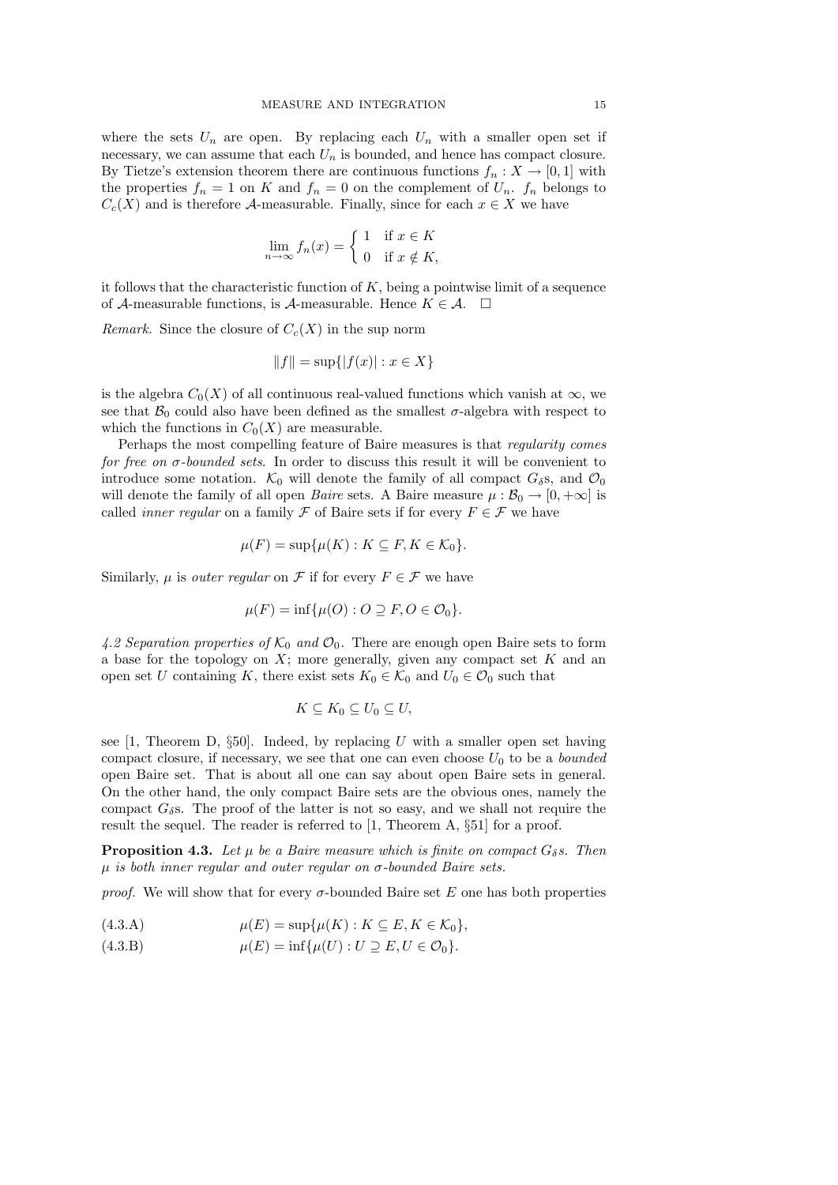where the sets  $U_n$  are open. By replacing each  $U_n$  with a smaller open set if necessary, we can assume that each  $U_n$  is bounded, and hence has compact closure. By Tietze's extension theorem there are continuous functions  $f_n : X \to [0,1]$  with the properties  $f_n = 1$  on K and  $f_n = 0$  on the complement of  $U_n$ .  $f_n$  belongs to  $C_c(X)$  and is therefore A-measurable. Finally, since for each  $x \in X$  we have

$$
\lim_{n \to \infty} f_n(x) = \begin{cases} 1 & \text{if } x \in K \\ 0 & \text{if } x \notin K, \end{cases}
$$

it follows that the characteristic function of  $K$ , being a pointwise limit of a sequence of A-measurable functions, is A-measurable. Hence  $K \in \mathcal{A}$ .  $\square$ 

Remark. Since the closure of  $C_c(X)$  in the sup norm

$$
||f|| = \sup\{|f(x)| : x \in X\}
$$

is the algebra  $C_0(X)$  of all continuous real-valued functions which vanish at  $\infty$ , we see that  $\mathcal{B}_0$  could also have been defined as the smallest  $\sigma$ -algebra with respect to which the functions in  $C_0(X)$  are measurable.

Perhaps the most compelling feature of Baire measures is that regularity comes for free on σ-bounded sets. In order to discuss this result it will be convenient to introduce some notation.  $\mathcal{K}_0$  will denote the family of all compact  $G_\delta$ s, and  $\mathcal{O}_0$ will denote the family of all open *Baire* sets. A Baire measure  $\mu : \mathcal{B}_0 \to [0, +\infty]$  is called *inner regular* on a family  $\mathcal F$  of Baire sets if for every  $F \in \mathcal F$  we have

$$
\mu(F) = \sup \{ \mu(K) : K \subseteq F, K \in \mathcal{K}_0 \}.
$$

Similarly,  $\mu$  is *outer regular* on  $\mathcal F$  if for every  $F \in \mathcal F$  we have

$$
\mu(F) = \inf \{ \mu(O) : O \supseteq F, O \in \mathcal{O}_0 \}.
$$

4.2 Separation properties of  $K_0$  and  $\mathcal{O}_0$ . There are enough open Baire sets to form a base for the topology on  $X$ ; more generally, given any compact set  $K$  and an open set U containing K, there exist sets  $K_0 \in \mathcal{K}_0$  and  $U_0 \in \mathcal{O}_0$  such that

$$
K\subseteq K_0\subseteq U_0\subseteq U,
$$

see  $[1,$  Theorem D,  $\S50$ . Indeed, by replacing U with a smaller open set having compact closure, if necessary, we see that one can even choose  $U_0$  to be a *bounded* open Baire set. That is about all one can say about open Baire sets in general. On the other hand, the only compact Baire sets are the obvious ones, namely the compact  $G_{\delta}$ s. The proof of the latter is not so easy, and we shall not require the result the sequel. The reader is referred to [1, Theorem A, §51] for a proof.

**Proposition 4.3.** Let  $\mu$  be a Baire measure which is finite on compact  $G_{\delta} s$ . Then  $\mu$  is both inner regular and outer regular on  $\sigma$ -bounded Baire sets.

*proof.* We will show that for every  $\sigma$ -bounded Baire set E one has both properties

(4.3.A) 
$$
\mu(E) = \sup \{ \mu(K) : K \subseteq E, K \in \mathcal{K}_0 \},
$$

(4.3.B)  $\mu(E) = \inf \{ \mu(U) : U \supseteq E, U \in \mathcal{O}_0 \}.$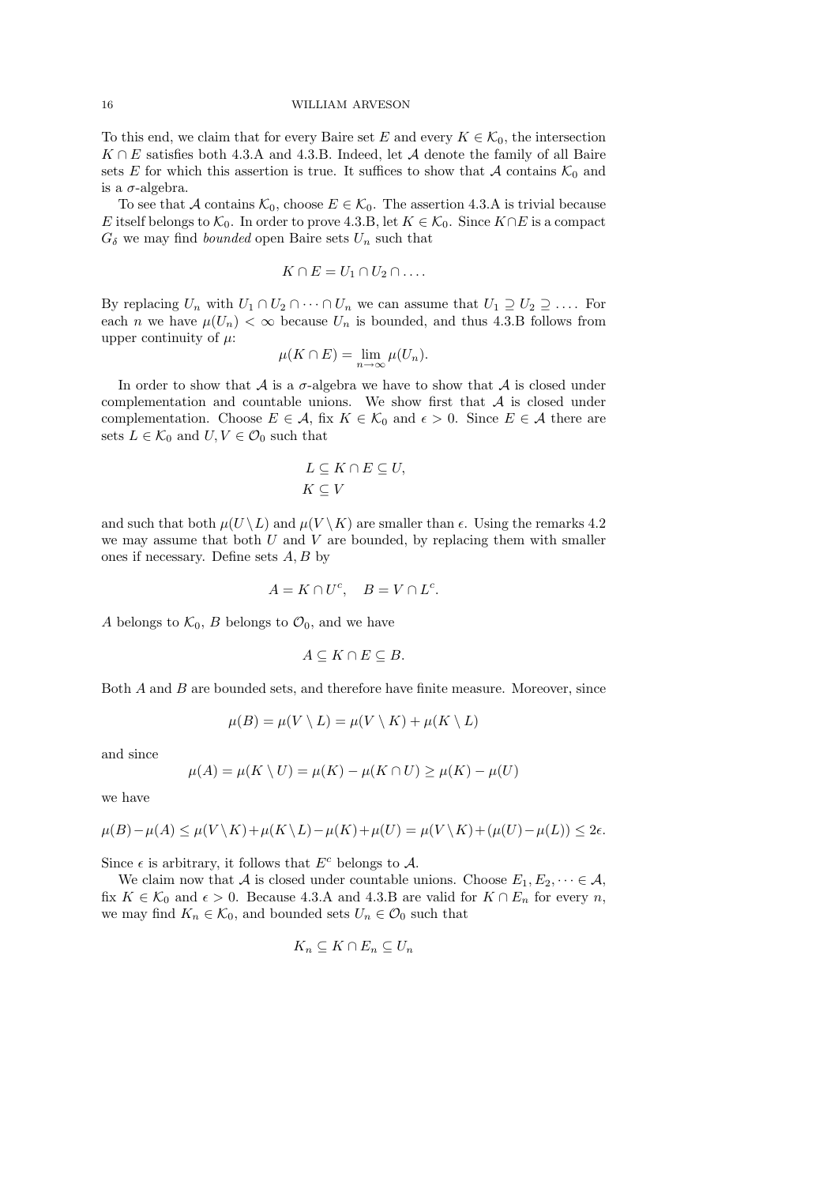To this end, we claim that for every Baire set E and every  $K \in \mathcal{K}_0$ , the intersection  $K \cap E$  satisfies both 4.3.A and 4.3.B. Indeed, let A denote the family of all Baire sets E for which this assertion is true. It suffices to show that A contains  $\mathcal{K}_0$  and is a  $\sigma$ -algebra.

To see that A contains  $\mathcal{K}_0$ , choose  $E \in \mathcal{K}_0$ . The assertion 4.3.A is trivial because E itself belongs to  $\mathcal{K}_0$ . In order to prove 4.3.B, let  $K \in \mathcal{K}_0$ . Since  $K \cap E$  is a compact  $G_{\delta}$  we may find *bounded* open Baire sets  $U_n$  such that

$$
K \cap E = U_1 \cap U_2 \cap \dots
$$

By replacing  $U_n$  with  $U_1 \cap U_2 \cap \cdots \cap U_n$  we can assume that  $U_1 \supseteq U_2 \supseteq \cdots$ . For each n we have  $\mu(U_n) < \infty$  because  $U_n$  is bounded, and thus 4.3.B follows from upper continuity of  $\mu$ :

$$
\mu(K \cap E) = \lim_{n \to \infty} \mu(U_n).
$$

In order to show that  $\mathcal A$  is a  $\sigma$ -algebra we have to show that  $\mathcal A$  is closed under complementation and countable unions. We show first that  $A$  is closed under complementation. Choose  $E \in \mathcal{A}$ , fix  $K \in \mathcal{K}_0$  and  $\epsilon > 0$ . Since  $E \in \mathcal{A}$  there are sets  $L \in \mathcal{K}_0$  and  $U, V \in \mathcal{O}_0$  such that

$$
L \subseteq K \cap E \subseteq U,
$$
  

$$
K \subseteq V
$$

and such that both  $\mu(U \backslash L)$  and  $\mu(V \backslash K)$  are smaller than  $\epsilon$ . Using the remarks 4.2 we may assume that both  $U$  and  $V$  are bounded, by replacing them with smaller ones if necessary. Define sets  $A, B$  by

$$
A = K \cap U^c, \quad B = V \cap L^c.
$$

A belongs to  $\mathcal{K}_0$ , B belongs to  $\mathcal{O}_0$ , and we have

$$
A \subseteq K \cap E \subseteq B.
$$

Both A and B are bounded sets, and therefore have finite measure. Moreover, since

$$
\mu(B) = \mu(V \setminus L) = \mu(V \setminus K) + \mu(K \setminus L)
$$

and since

$$
\mu(A) = \mu(K \setminus U) = \mu(K) - \mu(K \cap U) \ge \mu(K) - \mu(U)
$$

we have

$$
\mu(B)-\mu(A)\leq \mu(V\setminus K)+\mu(K\setminus L)-\mu(K)+\mu(U)=\mu(V\setminus K)+(\mu(U)-\mu(L))\leq 2\epsilon.
$$

Since  $\epsilon$  is arbitrary, it follows that  $E^c$  belongs to A.

We claim now that A is closed under countable unions. Choose  $E_1, E_2, \dots \in \mathcal{A}$ , fix  $K \in \mathcal{K}_0$  and  $\epsilon > 0$ . Because 4.3.A and 4.3.B are valid for  $K \cap E_n$  for every n, we may find  $K_n \in \mathcal{K}_0$ , and bounded sets  $U_n \in \mathcal{O}_0$  such that

$$
K_n \subseteq K \cap E_n \subseteq U_n
$$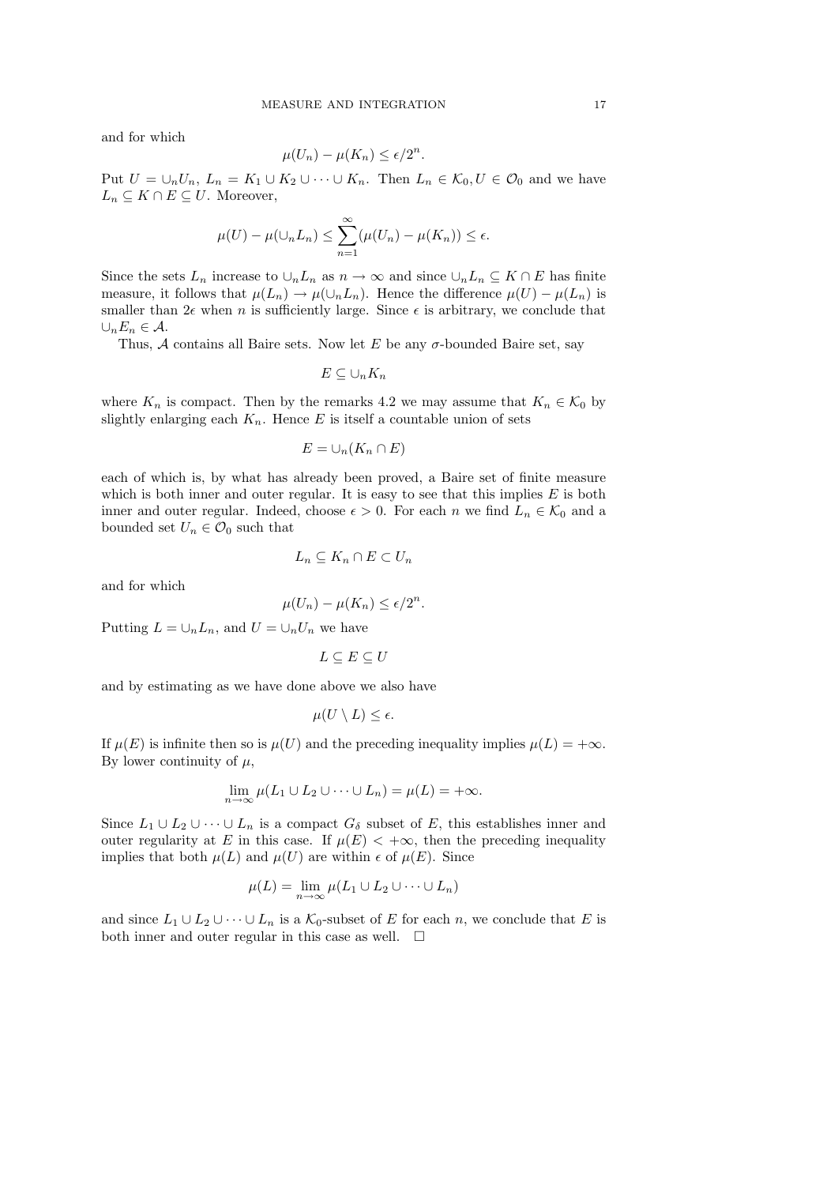and for which

$$
\mu(U_n) - \mu(K_n) \le \epsilon/2^n.
$$

Put  $U = \bigcup_n U_n$ ,  $L_n = K_1 \cup K_2 \cup \cdots \cup K_n$ . Then  $L_n \in \mathcal{K}_0, U \in \mathcal{O}_0$  and we have  $L_n \subseteq K \cap E \subseteq U$ . Moreover,

$$
\mu(U) - \mu(\cup_n L_n) \le \sum_{n=1}^{\infty} (\mu(U_n) - \mu(K_n)) \le \epsilon.
$$

Since the sets  $L_n$  increase to  $\cup_n L_n$  as  $n \to \infty$  and since  $\cup_n L_n \subseteq K \cap E$  has finite measure, it follows that  $\mu(L_n) \to \mu(\cup_n L_n)$ . Hence the difference  $\mu(U) - \mu(L_n)$  is smaller than  $2\epsilon$  when n is sufficiently large. Since  $\epsilon$  is arbitrary, we conclude that  $\cup_n E_n \in \mathcal{A}.$ 

Thus, A contains all Baire sets. Now let E be any  $\sigma$ -bounded Baire set, say

$$
E\subseteq\cup_n K_n
$$

where  $K_n$  is compact. Then by the remarks 4.2 we may assume that  $K_n \in \mathcal{K}_0$  by slightly enlarging each  $K_n$ . Hence E is itself a countable union of sets

$$
E=\cup_n(K_n\cap E)
$$

each of which is, by what has already been proved, a Baire set of finite measure which is both inner and outer regular. It is easy to see that this implies  $E$  is both inner and outer regular. Indeed, choose  $\epsilon > 0$ . For each n we find  $L_n \in \mathcal{K}_0$  and a bounded set  $U_n \in \mathcal{O}_0$  such that

$$
L_n \subseteq K_n \cap E \subset U_n
$$

and for which

$$
\mu(U_n) - \mu(K_n) \le \epsilon/2^n.
$$

Putting  $L = \bigcup_n L_n$ , and  $U = \bigcup_n U_n$  we have

$$
L \subseteq E \subseteq U
$$

and by estimating as we have done above we also have

$$
\mu(U \setminus L) \leq \epsilon.
$$

If  $\mu(E)$  is infinite then so is  $\mu(U)$  and the preceding inequality implies  $\mu(L) = +\infty$ . By lower continuity of  $\mu$ ,

$$
\lim_{n \to \infty} \mu(L_1 \cup L_2 \cup \dots \cup L_n) = \mu(L) = +\infty.
$$

Since  $L_1 \cup L_2 \cup \cdots \cup L_n$  is a compact  $G_\delta$  subset of E, this establishes inner and outer regularity at E in this case. If  $\mu(E) < +\infty$ , then the preceding inequality implies that both  $\mu(L)$  and  $\mu(U)$  are within  $\epsilon$  of  $\mu(E)$ . Since

$$
\mu(L) = \lim_{n \to \infty} \mu(L_1 \cup L_2 \cup \dots \cup L_n)
$$

and since  $L_1 \cup L_2 \cup \cdots \cup L_n$  is a  $\mathcal{K}_0$ -subset of E for each n, we conclude that E is both inner and outer regular in this case as well.  $\Box$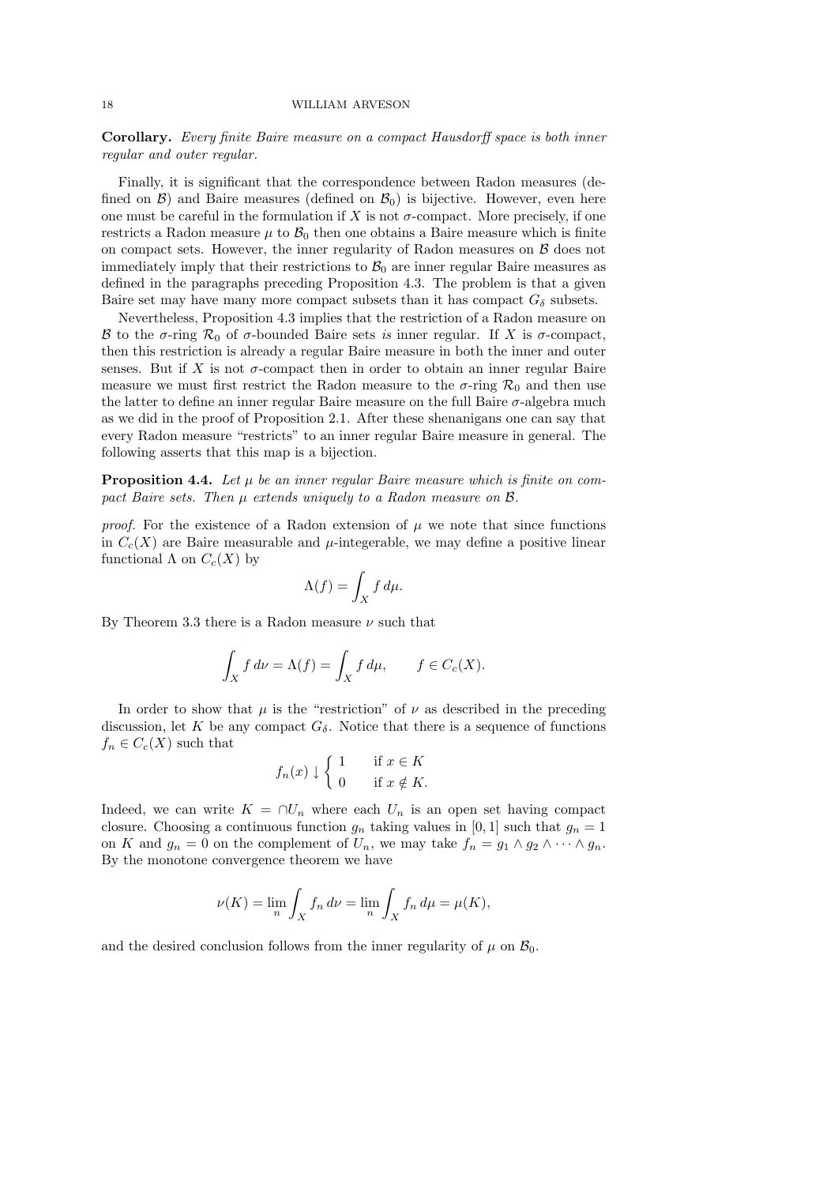Corollary. Every finite Baire measure on a compact Hausdorff space is both inner regular and outer regular.

Finally, it is significant that the correspondence between Radon measures (defined on  $\mathcal{B}$ ) and Baire measures (defined on  $\mathcal{B}_0$ ) is bijective. However, even here one must be careful in the formulation if X is not  $\sigma$ -compact. More precisely, if one restricts a Radon measure  $\mu$  to  $\mathcal{B}_0$  then one obtains a Baire measure which is finite on compact sets. However, the inner regularity of Radon measures on  $\beta$  does not immediately imply that their restrictions to  $\mathcal{B}_0$  are inner regular Baire measures as defined in the paragraphs preceding Proposition 4.3. The problem is that a given Baire set may have many more compact subsets than it has compact  $G_{\delta}$  subsets.

Nevertheless, Proposition 4.3 implies that the restriction of a Radon measure on B to the  $\sigma$ -ring  $\mathcal{R}_0$  of  $\sigma$ -bounded Baire sets is inner regular. If X is  $\sigma$ -compact, then this restriction is already a regular Baire measure in both the inner and outer senses. But if X is not  $\sigma$ -compact then in order to obtain an inner regular Baire measure we must first restrict the Radon measure to the  $\sigma$ -ring  $\mathcal{R}_0$  and then use the latter to define an inner regular Baire measure on the full Baire  $\sigma$ -algebra much as we did in the proof of Proposition 2.1. After these shenanigans one can say that every Radon measure "restricts" to an inner regular Baire measure in general. The following asserts that this map is a bijection.

**Proposition 4.4.** Let  $\mu$  be an inner regular Baire measure which is finite on compact Baire sets. Then  $\mu$  extends uniquely to a Radon measure on  $\beta$ .

proof. For the existence of a Radon extension of  $\mu$  we note that since functions in  $C_c(X)$  are Baire measurable and  $\mu$ -integerable, we may define a positive linear functional  $\Lambda$  on  $C_c(X)$  by

$$
\Lambda(f) = \int_X f \, d\mu.
$$

By Theorem 3.3 there is a Radon measure  $\nu$  such that

$$
\int_X f \, d\nu = \Lambda(f) = \int_X f \, d\mu, \qquad f \in C_c(X).
$$

In order to show that  $\mu$  is the "restriction" of  $\nu$  as described in the preceding discussion, let K be any compact  $G_{\delta}$ . Notice that there is a sequence of functions  $f_n \in C_c(X)$  such that

$$
f_n(x) \downarrow \begin{cases} 1 & \text{if } x \in K \\ 0 & \text{if } x \notin K. \end{cases}
$$

Indeed, we can write  $K = \bigcap U_n$  where each  $U_n$  is an open set having compact closure. Choosing a continuous function  $g_n$  taking values in [0, 1] such that  $g_n = 1$ on K and  $g_n = 0$  on the complement of  $U_n$ , we may take  $f_n = g_1 \wedge g_2 \wedge \cdots \wedge g_n$ . By the monotone convergence theorem we have

$$
\nu(K) = \lim_{n} \int_{X} f_n d\nu = \lim_{n} \int_{X} f_n d\mu = \mu(K),
$$

and the desired conclusion follows from the inner regularity of  $\mu$  on  $\mathcal{B}_0$ .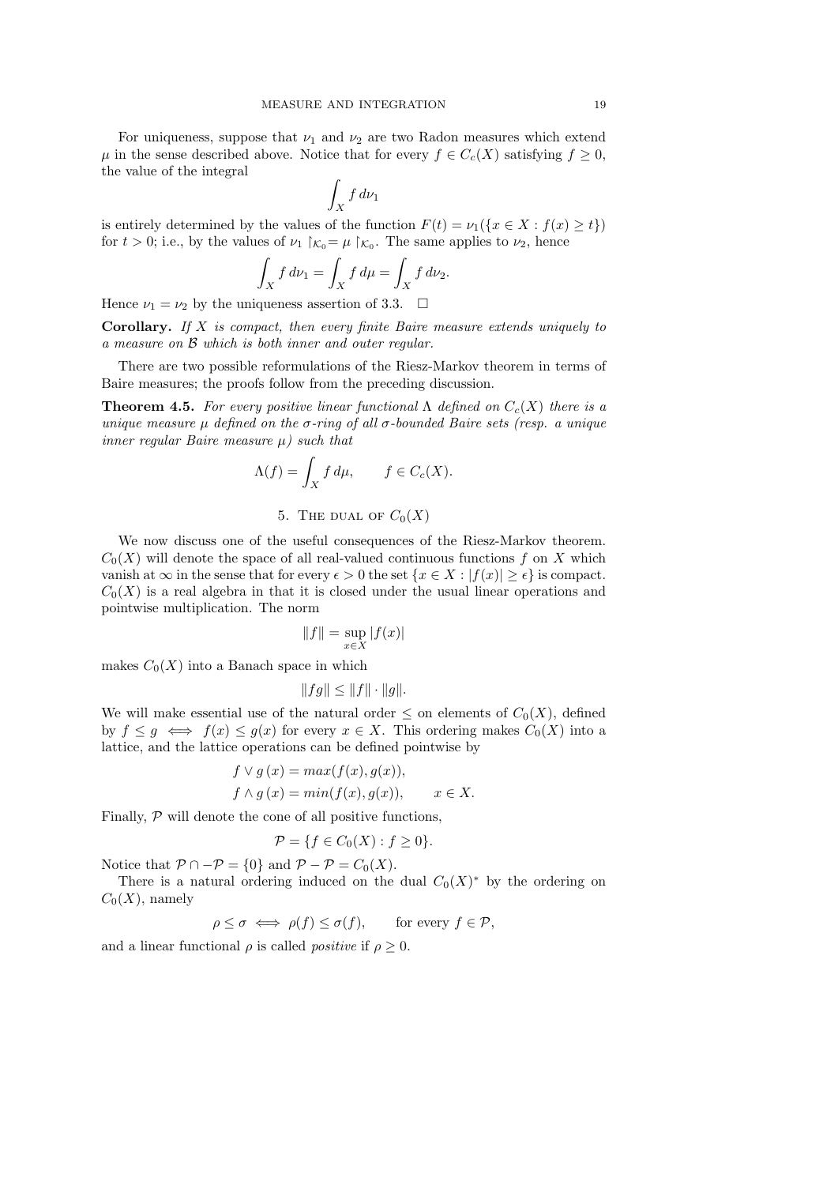For uniqueness, suppose that  $\nu_1$  and  $\nu_2$  are two Radon measures which extend  $\mu$  in the sense described above. Notice that for every  $f \in C_c(X)$  satisfying  $f \geq 0$ , the value of the integral

$$
\int_X f \, d\nu_1
$$

is entirely determined by the values of the function  $F(t) = \nu_1({x \in X : f(x) \ge t})$ for  $t > 0$ ; i.e., by the values of  $\nu_1 \upharpoonright_{\mathcal{K}_0} = \mu \upharpoonright_{\mathcal{K}_0}$ . The same applies to  $\nu_2$ , hence

$$
\int_X f \, d\nu_1 = \int_X f \, d\mu = \int_X f \, d\nu_2.
$$

Hence  $\nu_1 = \nu_2$  by the uniqueness assertion of 3.3.  $\Box$ 

Corollary. If X is compact, then every finite Baire measure extends uniquely to a measure on B which is both inner and outer regular.

There are two possible reformulations of the Riesz-Markov theorem in terms of Baire measures; the proofs follow from the preceding discussion.

**Theorem 4.5.** For every positive linear functional  $\Lambda$  defined on  $C_c(X)$  there is a unique measure  $\mu$  defined on the  $\sigma$ -ring of all  $\sigma$ -bounded Baire sets (resp. a unique inner regular Baire measure  $\mu$ ) such that

$$
\Lambda(f) = \int_X f \, d\mu, \qquad f \in C_c(X).
$$

## 5. THE DUAL OF  $C_0(X)$

We now discuss one of the useful consequences of the Riesz-Markov theorem.  $C_0(X)$  will denote the space of all real-valued continuous functions f on X which vanish at  $\infty$  in the sense that for every  $\epsilon > 0$  the set  $\{x \in X : |f(x)| \geq \epsilon\}$  is compact.  $C_0(X)$  is a real algebra in that it is closed under the usual linear operations and pointwise multiplication. The norm

$$
||f|| = \sup_{x \in X} |f(x)|
$$

makes  $C_0(X)$  into a Banach space in which

$$
||fg|| \leq ||f|| \cdot ||g||.
$$

We will make essential use of the natural order  $\leq$  on elements of  $C_0(X)$ , defined by  $f \leq g \iff f(x) \leq g(x)$  for every  $x \in X$ . This ordering makes  $C_0(X)$  into a lattice, and the lattice operations can be defined pointwise by

$$
f \vee g (x) = max(f(x), g(x)),
$$
  
\n
$$
f \wedge g (x) = min(f(x), g(x)), \qquad x \in X.
$$

Finally,  $P$  will denote the cone of all positive functions,

$$
\mathcal{P} = \{ f \in C_0(X) : f \ge 0 \}.
$$

Notice that  $\mathcal{P} \cap -\mathcal{P} = \{0\}$  and  $\mathcal{P} - \mathcal{P} = C_0(X)$ .

There is a natural ordering induced on the dual  $C_0(X)^*$  by the ordering on  $C_0(X)$ , namely

$$
\rho \le \sigma \iff \rho(f) \le \sigma(f), \qquad \text{for every } f \in \mathcal{P},
$$

and a linear functional  $\rho$  is called *positive* if  $\rho \geq 0$ .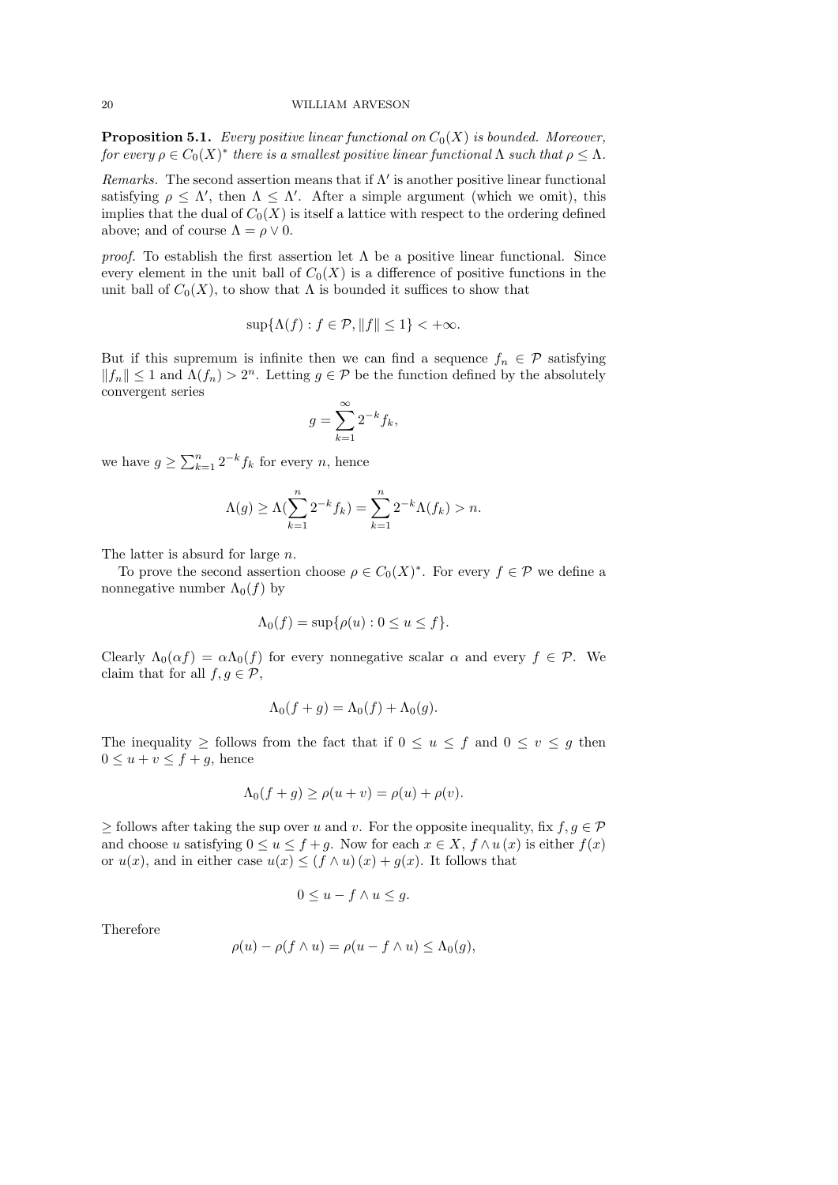**Proposition 5.1.** Every positive linear functional on  $C_0(X)$  is bounded. Moreover, for every  $\rho \in C_0(X)^*$  there is a smallest positive linear functional  $\Lambda$  such that  $\rho \leq \Lambda$ .

Remarks. The second assertion means that if  $\Lambda'$  is another positive linear functional satisfying  $\rho \leq \Lambda'$ , then  $\Lambda \leq \Lambda'$ . After a simple argument (which we omit), this implies that the dual of  $C_0(X)$  is itself a lattice with respect to the ordering defined above; and of course  $\Lambda = \rho \vee 0$ .

*proof.* To establish the first assertion let  $\Lambda$  be a positive linear functional. Since every element in the unit ball of  $C_0(X)$  is a difference of positive functions in the unit ball of  $C_0(X)$ , to show that  $\Lambda$  is bounded it suffices to show that

$$
\sup\{\Lambda(f) : f \in \mathcal{P}, ||f|| \le 1\} < +\infty.
$$

But if this supremum is infinite then we can find a sequence  $f_n \in \mathcal{P}$  satisfying  $||f_n|| \leq 1$  and  $\Lambda(f_n) > 2^n$ . Letting  $g \in \mathcal{P}$  be the function defined by the absolutely convergent series

$$
g = \sum_{k=1}^{\infty} 2^{-k} f_k,
$$

we have  $g \ge \sum_{k=1}^n 2^{-k} f_k$  for every *n*, hence

$$
\Lambda(g) \ge \Lambda(\sum_{k=1}^{n} 2^{-k} f_k) = \sum_{k=1}^{n} 2^{-k} \Lambda(f_k) > n.
$$

The latter is absurd for large n.

To prove the second assertion choose  $\rho \in C_0(X)^*$ . For every  $f \in \mathcal{P}$  we define a nonnegative number  $\Lambda_0(f)$  by

$$
\Lambda_0(f) = \sup \{ \rho(u) : 0 \le u \le f \}.
$$

Clearly  $\Lambda_0(\alpha f) = \alpha \Lambda_0(f)$  for every nonnegative scalar  $\alpha$  and every  $f \in \mathcal{P}$ . We claim that for all  $f, g \in \mathcal{P}$ ,

$$
\Lambda_0(f+g) = \Lambda_0(f) + \Lambda_0(g).
$$

The inequality  $\geq$  follows from the fact that if  $0 \leq u \leq f$  and  $0 \leq v \leq g$  then  $0 \le u + v \le f + g$ , hence

$$
\Lambda_0(f+g) \ge \rho(u+v) = \rho(u) + \rho(v).
$$

 $\geq$  follows after taking the sup over u and v. For the opposite inequality, fix  $f, g \in \mathcal{P}$ and choose u satisfying  $0 \le u \le f+g$ . Now for each  $x \in X$ ,  $f \wedge u(x)$  is either  $f(x)$ or  $u(x)$ , and in either case  $u(x) \leq (f \wedge u)(x) + g(x)$ . It follows that

$$
0 \le u - f \wedge u \le g.
$$

Therefore

$$
\rho(u) - \rho(f \wedge u) = \rho(u - f \wedge u) \leq \Lambda_0(g),
$$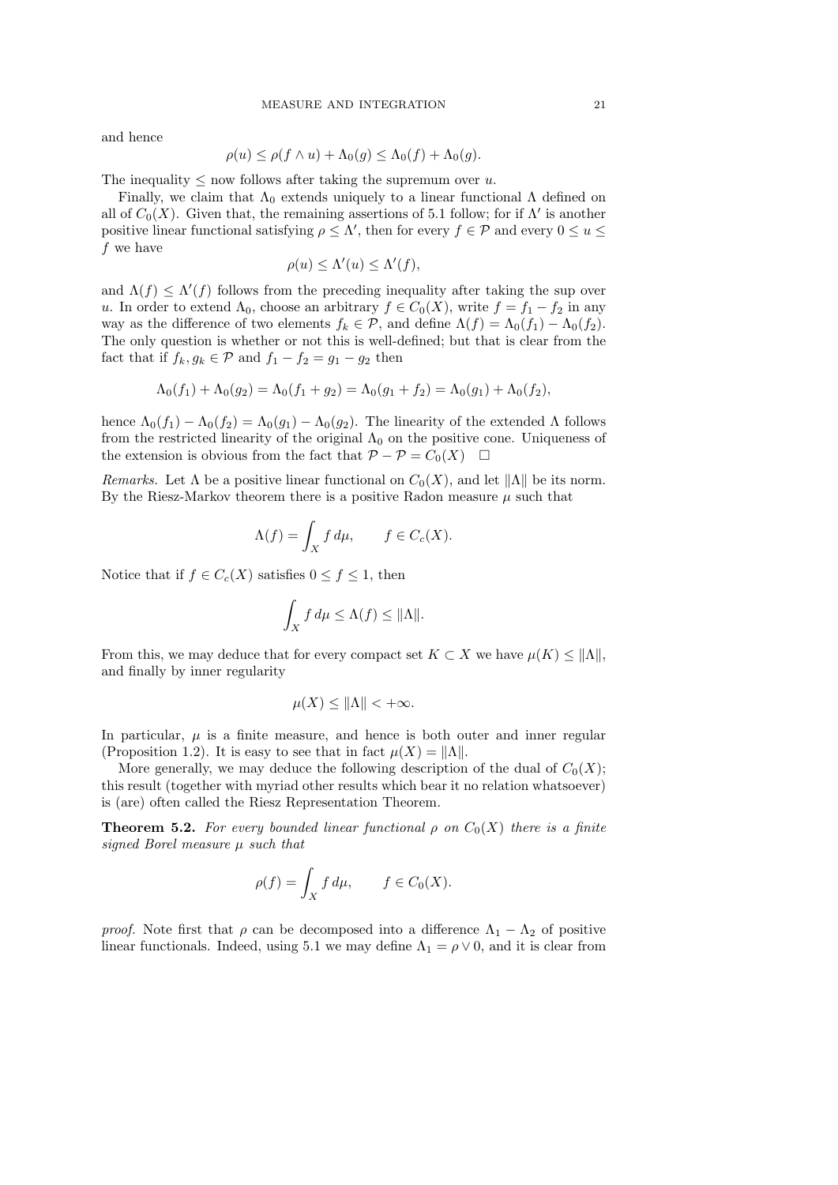and hence

$$
\rho(u) \le \rho(f \wedge u) + \Lambda_0(g) \le \Lambda_0(f) + \Lambda_0(g).
$$

The inequality  $\leq$  now follows after taking the supremum over u.

Finally, we claim that  $\Lambda_0$  extends uniquely to a linear functional  $\Lambda$  defined on all of  $C_0(X)$ . Given that, the remaining assertions of 5.1 follow; for if  $\Lambda'$  is another positive linear functional satisfying  $\rho \leq \Lambda'$ , then for every  $f \in \mathcal{P}$  and every  $0 \leq u \leq \Lambda'$ f we have

$$
\rho(u) \le \Lambda'(u) \le \Lambda'(f),
$$

and  $\Lambda(f) \leq \Lambda'(f)$  follows from the preceding inequality after taking the sup over u. In order to extend  $\Lambda_0$ , choose an arbitrary  $f \in C_0(X)$ , write  $f = f_1 - f_2$  in any way as the difference of two elements  $f_k \in \mathcal{P}$ , and define  $\Lambda(f) = \Lambda_0(f_1) - \Lambda_0(f_2)$ . The only question is whether or not this is well-defined; but that is clear from the fact that if  $f_k, g_k \in \mathcal{P}$  and  $f_1 - f_2 = g_1 - g_2$  then

$$
\Lambda_0(f_1) + \Lambda_0(g_2) = \Lambda_0(f_1 + g_2) = \Lambda_0(g_1 + f_2) = \Lambda_0(g_1) + \Lambda_0(f_2),
$$

hence  $\Lambda_0(f_1) - \Lambda_0(f_2) = \Lambda_0(g_1) - \Lambda_0(g_2)$ . The linearity of the extended  $\Lambda$  follows from the restricted linearity of the original  $\Lambda_0$  on the positive cone. Uniqueness of the extension is obvious from the fact that  $\mathcal{P} - \mathcal{P} = C_0(X)$ 

Remarks. Let  $\Lambda$  be a positive linear functional on  $C_0(X)$ , and let  $\|\Lambda\|$  be its norm. By the Riesz-Markov theorem there is a positive Radon measure  $\mu$  such that

$$
\Lambda(f) = \int_X f \, d\mu, \qquad f \in C_c(X).
$$

Notice that if  $f \in C_c(X)$  satisfies  $0 \le f \le 1$ , then

$$
\int_X f \, d\mu \le \Lambda(f) \le \|\Lambda\|.
$$

From this, we may deduce that for every compact set  $K \subset X$  we have  $\mu(K) \leq ||\Lambda||$ , and finally by inner regularity

$$
\mu(X) \le \|\Lambda\| < +\infty.
$$

In particular,  $\mu$  is a finite measure, and hence is both outer and inner regular (Proposition 1.2). It is easy to see that in fact  $\mu(X) = ||\Lambda||$ .

More generally, we may deduce the following description of the dual of  $C_0(X)$ ; this result (together with myriad other results which bear it no relation whatsoever) is (are) often called the Riesz Representation Theorem.

**Theorem 5.2.** For every bounded linear functional  $\rho$  on  $C_0(X)$  there is a finite signed Borel measure  $\mu$  such that

$$
\rho(f) = \int_X f \, d\mu, \qquad f \in C_0(X).
$$

*proof.* Note first that  $\rho$  can be decomposed into a difference  $\Lambda_1 - \Lambda_2$  of positive linear functionals. Indeed, using 5.1 we may define  $\Lambda_1 = \rho \vee 0$ , and it is clear from